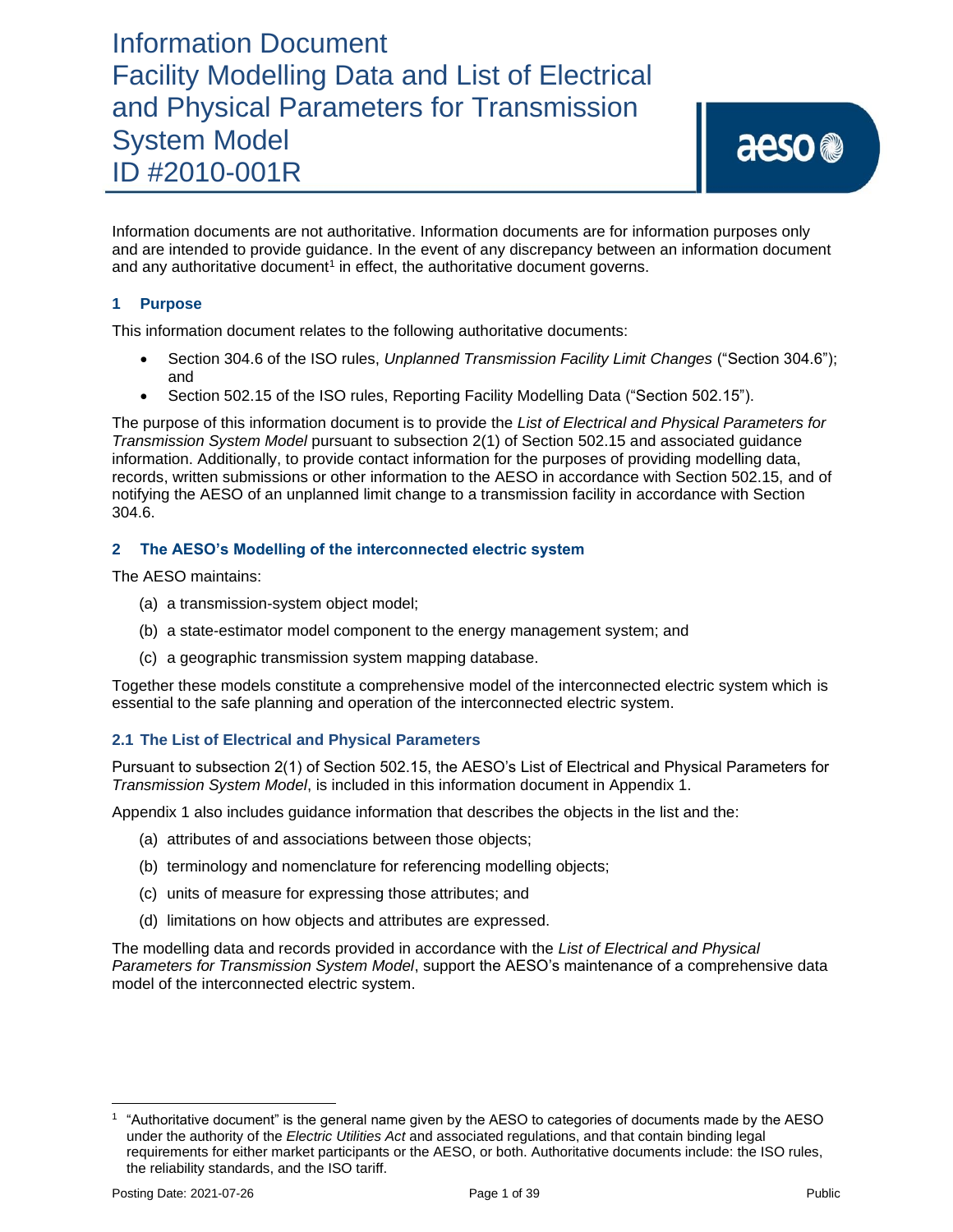Information documents are not authoritative. Information documents are for information purposes only and are intended to provide guidance. In the event of any discrepancy between an information document and any authoritative document<sup>1</sup> in effect, the authoritative document governs.

### **1 Purpose**

This information document relates to the following authoritative documents:

- Section 304.6 of the ISO rules, *Unplanned Transmission Facility Limit Changes* ("Section 304.6"); and
- Section 502.15 of the ISO rules, Reporting Facility Modelling Data ("Section 502.15").

The purpose of this information document is to provide the *List of Electrical and Physical Parameters for Transmission System Model* pursuant to subsection 2(1) of Section 502.15 and associated guidance information. Additionally, to provide contact information for the purposes of providing modelling data, records, written submissions or other information to the AESO in accordance with Section 502.15, and of notifying the AESO of an unplanned limit change to a transmission facility in accordance with Section 304.6.

### **2 The AESO's Modelling of the interconnected electric system**

The AESO maintains:

- (a) a transmission-system object model;
- (b) a state-estimator model component to the energy management system; and
- (c) a geographic transmission system mapping database.

Together these models constitute a comprehensive model of the interconnected electric system which is essential to the safe planning and operation of the interconnected electric system.

### **2.1 The List of Electrical and Physical Parameters**

Pursuant to subsection 2(1) of Section 502.15, the AESO's List of Electrical and Physical Parameters for *Transmission System Model*, is included in this information document in Appendix 1.

Appendix 1 also includes guidance information that describes the objects in the list and the:

- (a) attributes of and associations between those objects;
- (b) terminology and nomenclature for referencing modelling objects;
- (c) units of measure for expressing those attributes; and
- (d) limitations on how objects and attributes are expressed.

The modelling data and records provided in accordance with the *List of Electrical and Physical Parameters for Transmission System Model*, support the AESO's maintenance of a comprehensive data model of the interconnected electric system.

<sup>1</sup> "Authoritative document" is the general name given by the AESO to categories of documents made by the AESO under the authority of the *Electric Utilities Act* and associated regulations, and that contain binding legal requirements for either market participants or the AESO, or both. Authoritative documents include: the ISO rules, the reliability standards, and the ISO tariff.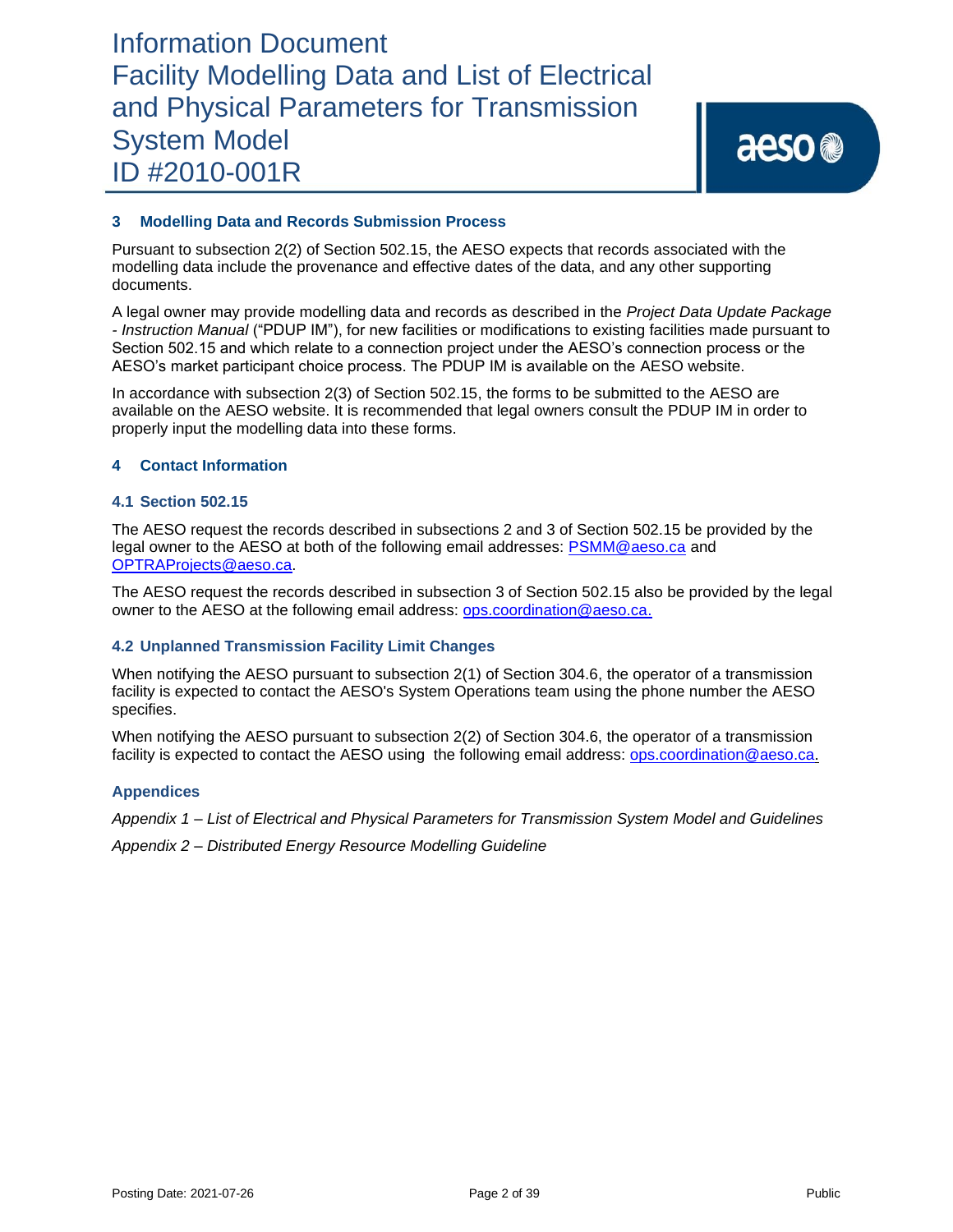### **3 Modelling Data and Records Submission Process**

Pursuant to subsection 2(2) of Section 502.15, the AESO expects that records associated with the modelling data include the provenance and effective dates of the data, and any other supporting documents.

A legal owner may provide modelling data and records as described in the *Project Data Update Package - Instruction Manual* ("PDUP IM"), for new facilities or modifications to existing facilities made pursuant to Section 502.15 and which relate to a connection project under the AESO's connection process or the AESO's market participant choice process. The PDUP IM is available on the AESO website.

In accordance with subsection 2(3) of Section 502.15, the forms to be submitted to the AESO are available on the AESO website. It is recommended that legal owners consult the PDUP IM in order to properly input the modelling data into these forms.

### **4 Contact Information**

### **4.1 Section 502.15**

The AESO request the records described in subsections 2 and 3 of Section 502.15 be provided by the legal owner to the AESO at both of the following email addresses: [PSMM@aeso.ca](mailto:PSMM@aeso.ca) and [OPTRAProjects@aeso.ca.](mailto:OPTRAProjects@aeso.ca)

The AESO request the records described in subsection 3 of Section 502.15 also be provided by the legal owner to the AESO at the following email address: [ops.coordination@aeso.ca.](mailto:ops.coordination@aeso.ca)

### **4.2 Unplanned Transmission Facility Limit Changes**

When notifying the AESO pursuant to subsection 2(1) of Section 304.6, the operator of a transmission facility is expected to contact the AESO's System Operations team using the phone number the AESO specifies.

When notifying the AESO pursuant to subsection 2(2) of Section 304.6, the operator of a transmission facility is expected to contact the AESO using the following email address: [ops.coordination@aeso.ca.](mailto:ops.coordination@aeso.ca)

### **Appendices**

*Appendix 1 – List of Electrical and Physical Parameters for Transmission System Model and Guidelines*

*Appendix 2 – Distributed Energy Resource Modelling Guideline*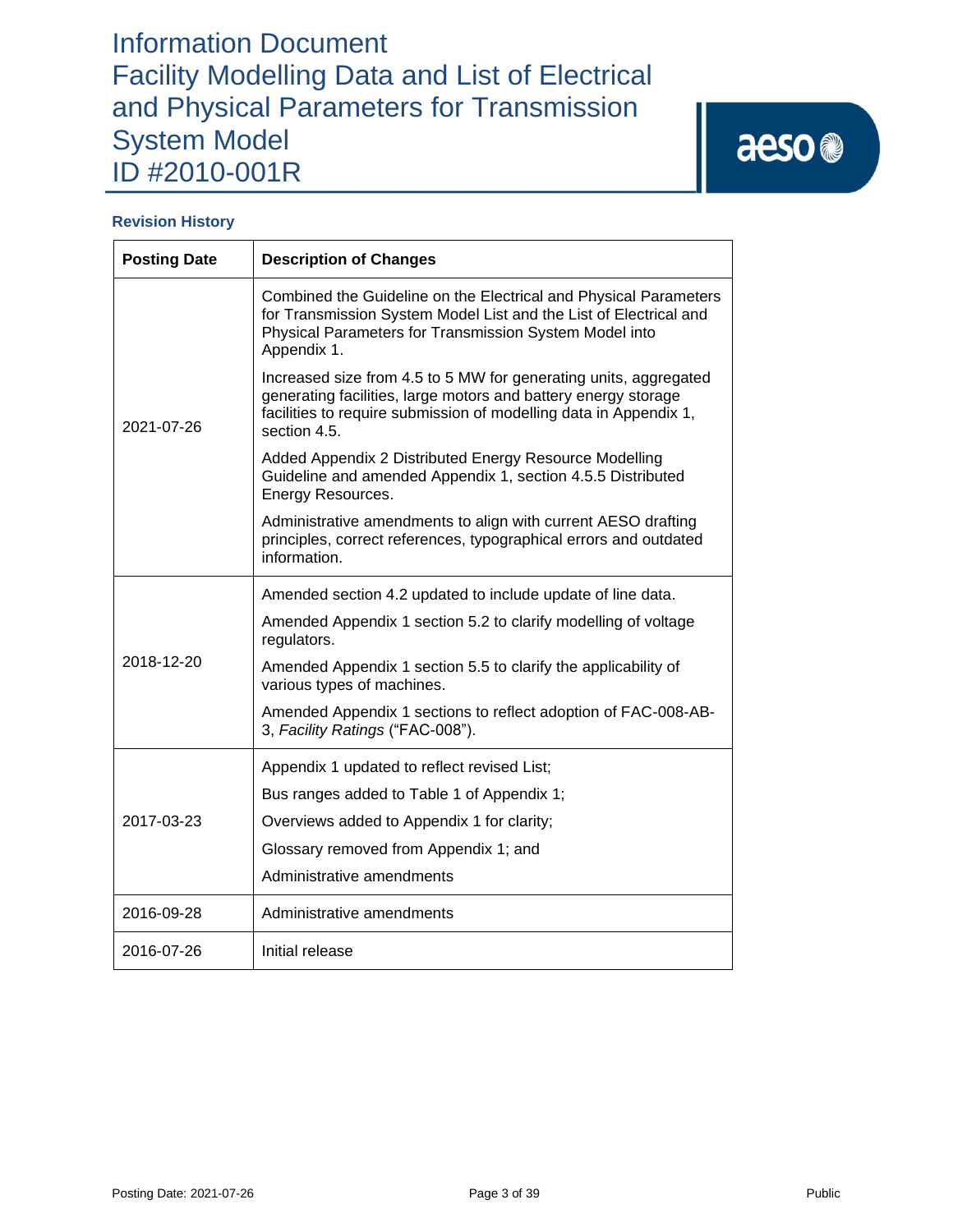# aeso<sup>®</sup>

### **Revision History**

| <b>Posting Date</b> | <b>Description of Changes</b>                                                                                                                                                                                           |
|---------------------|-------------------------------------------------------------------------------------------------------------------------------------------------------------------------------------------------------------------------|
| 2021-07-26          | Combined the Guideline on the Electrical and Physical Parameters<br>for Transmission System Model List and the List of Electrical and<br>Physical Parameters for Transmission System Model into<br>Appendix 1.          |
|                     | Increased size from 4.5 to 5 MW for generating units, aggregated<br>generating facilities, large motors and battery energy storage<br>facilities to require submission of modelling data in Appendix 1,<br>section 4.5. |
|                     | Added Appendix 2 Distributed Energy Resource Modelling<br>Guideline and amended Appendix 1, section 4.5.5 Distributed<br>Energy Resources.                                                                              |
|                     | Administrative amendments to align with current AESO drafting<br>principles, correct references, typographical errors and outdated<br>information.                                                                      |
|                     | Amended section 4.2 updated to include update of line data.                                                                                                                                                             |
|                     | Amended Appendix 1 section 5.2 to clarify modelling of voltage<br>regulators.                                                                                                                                           |
| 2018-12-20          | Amended Appendix 1 section 5.5 to clarify the applicability of<br>various types of machines.                                                                                                                            |
|                     | Amended Appendix 1 sections to reflect adoption of FAC-008-AB-<br>3, Facility Ratings ("FAC-008").                                                                                                                      |
|                     | Appendix 1 updated to reflect revised List;                                                                                                                                                                             |
| 2017-03-23          | Bus ranges added to Table 1 of Appendix 1;                                                                                                                                                                              |
|                     | Overviews added to Appendix 1 for clarity;                                                                                                                                                                              |
|                     | Glossary removed from Appendix 1; and                                                                                                                                                                                   |
|                     | Administrative amendments                                                                                                                                                                                               |
| 2016-09-28          | Administrative amendments                                                                                                                                                                                               |
| 2016-07-26          | Initial release                                                                                                                                                                                                         |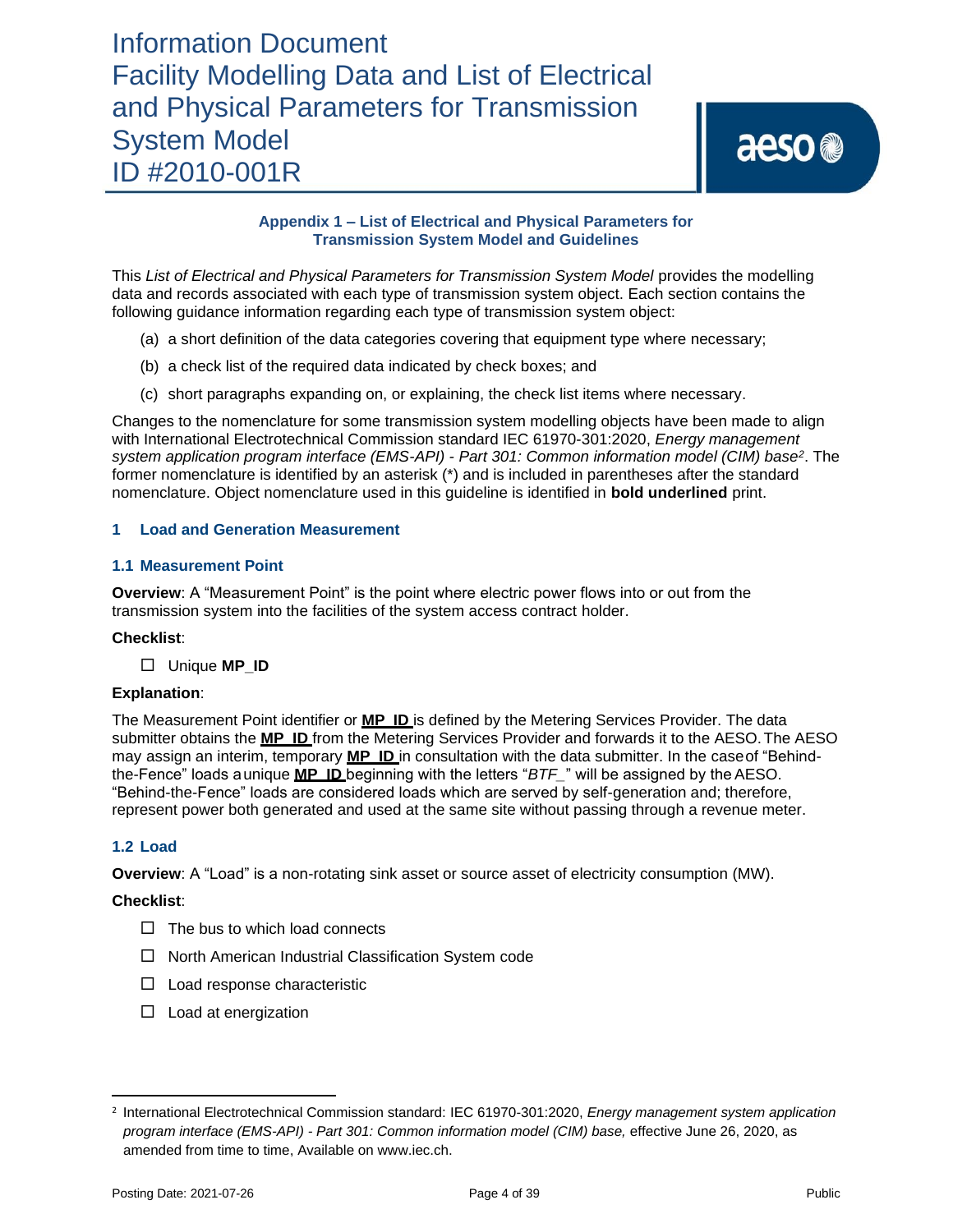### **Appendix 1 – List of Electrical and Physical Parameters for Transmission System Model and Guidelines**

This *List of Electrical and Physical Parameters for Transmission System Model* provides the modelling data and records associated with each type of transmission system object. Each section contains the following guidance information regarding each type of transmission system object:

- (a) a short definition of the data categories covering that equipment type where necessary;
- (b) a check list of the required data indicated by check boxes; and
- (c) short paragraphs expanding on, or explaining, the check list items where necessary.

Changes to the nomenclature for some transmission system modelling objects have been made to align with International Electrotechnical Commission standard IEC 61970-301:2020, *Energy management system application program interface (EMS-API) - Part 301: Common information model (CIM) base<sup>2</sup>* . The former nomenclature is identified by an asterisk (\*) and is included in parentheses after the standard nomenclature. Object nomenclature used in this guideline is identified in **bold underlined** print.

### **1 Load and Generation Measurement**

### **1.1 Measurement Point**

**Overview**: A "Measurement Point" is the point where electric power flows into or out from the transmission system into the facilities of the system access contract holder.

### **Checklist**:

Unique **MP\_ID**

### **Explanation**:

The Measurement Point identifier or **MP\_ID** is defined by the Metering Services Provider. The data submitter obtains the **MP\_ID** from the Metering Services Provider and forwards it to the AESO.The AESO may assign an interim, temporary **MP\_ID** in consultation with the data submitter. In the case of "Behindthe-Fence" loads aunique **MP\_ID** beginning with the letters "*BTF\_*" will be assigned by the AESO. "Behind-the-Fence" loads are considered loads which are served by self-generation and; therefore, represent power both generated and used at the same site without passing through a revenue meter.

### **1.2 Load**

**Overview**: A "Load" is a non-rotating sink asset or source asset of electricity consumption (MW).

### **Checklist**:

- $\Box$  The bus to which load connects
- $\Box$  North American Industrial Classification System code
- $\Box$  Load response characteristic
- $\Box$  Load at energization

<sup>2</sup> International Electrotechnical Commission standard: IEC 61970-301:2020, *Energy management system application program interface (EMS-API) - Part 301: Common information model (CIM) base,* effective June 26, 2020, as amended from time to time, Available on www.iec.ch.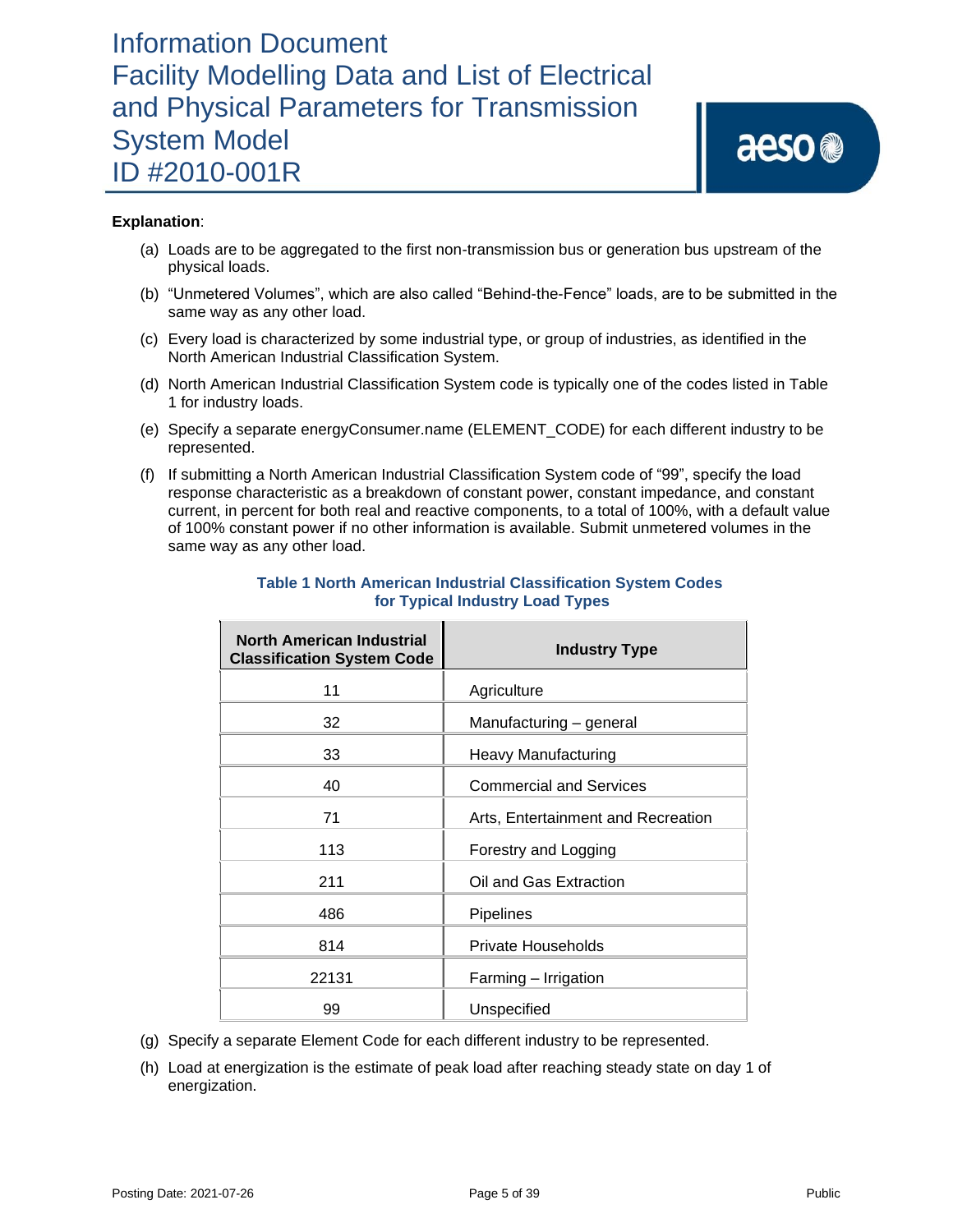### **Explanation**:

- (a) Loads are to be aggregated to the first non-transmission bus or generation bus upstream of the physical loads.
- (b) "Unmetered Volumes", which are also called "Behind-the-Fence" loads, are to be submitted in the same way as any other load.
- (c) Every load is characterized by some industrial type, or group of industries, as identified in the North American Industrial Classification System.
- (d) North American Industrial Classification System code is typically one of the codes listed in Table 1 for industry loads.
- (e) Specify a separate energyConsumer.name (ELEMENT\_CODE) for each different industry to be represented.
- (f) If submitting a North American Industrial Classification System code of "99", specify the load response characteristic as a breakdown of constant power, constant impedance, and constant current, in percent for both real and reactive components, to a total of 100%, with a default value of 100% constant power if no other information is available. Submit unmetered volumes in the same way as any other load.

| North American Industrial<br><b>Classification System Code</b> | <b>Industry Type</b>               |  |  |
|----------------------------------------------------------------|------------------------------------|--|--|
| 11                                                             | Agriculture                        |  |  |
| 32                                                             | Manufacturing - general            |  |  |
| 33                                                             | Heavy Manufacturing                |  |  |
| 40                                                             | <b>Commercial and Services</b>     |  |  |
| 71                                                             | Arts, Entertainment and Recreation |  |  |
| 113                                                            | Forestry and Logging               |  |  |
| 211                                                            | Oil and Gas Extraction             |  |  |
| 486                                                            | Pipelines                          |  |  |
| 814                                                            | Private Households                 |  |  |
| 22131                                                          | Farming - Irrigation               |  |  |
| 99                                                             | Unspecified                        |  |  |

### **Table 1 North American Industrial Classification System Codes for Typical Industry Load Types**

- (g) Specify a separate Element Code for each different industry to be represented.
- (h) Load at energization is the estimate of peak load after reaching steady state on day 1 of energization.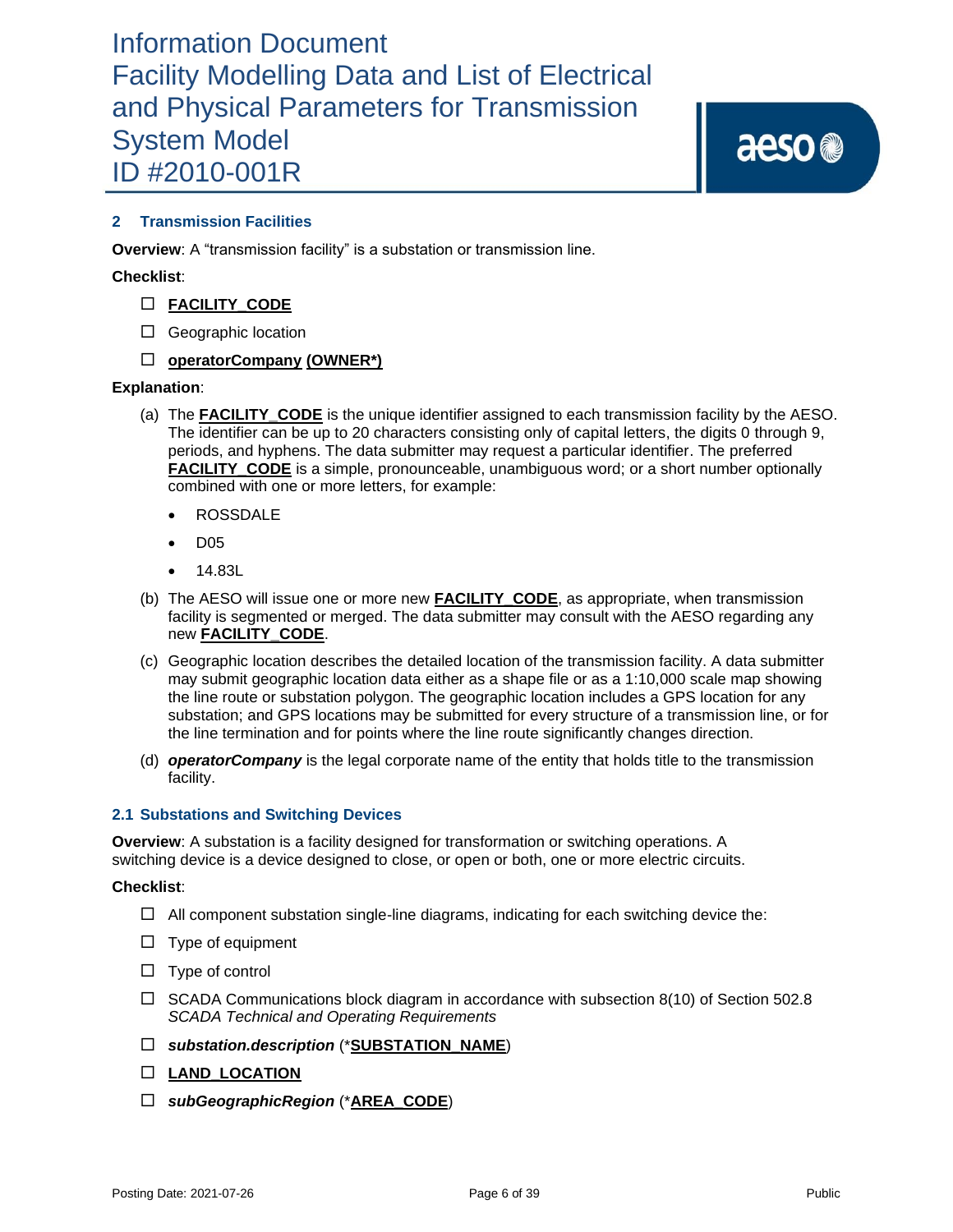aeso<sup>®</sup>

### **2 Transmission Facilities**

**Overview**: A "transmission facility" is a substation or transmission line.

### **Checklist**:

- **FACILITY\_CODE**
- □ Geographic location

### **operatorCompany (OWNER\*)**

### **Explanation**:

- (a) The **FACILITY\_CODE** is the unique identifier assigned to each transmission facility by the AESO. The identifier can be up to 20 characters consisting only of capital letters, the digits 0 through 9, periods, and hyphens. The data submitter may request a particular identifier. The preferred **FACILITY** CODE is a simple, pronounceable, unambiguous word; or a short number optionally combined with one or more letters, for example:
	- ROSSDALE
	- D05
	- 14.83L
- (b) The AESO will issue one or more new **FACILITY\_CODE**, as appropriate, when transmission facility is segmented or merged. The data submitter may consult with the AESO regarding any new **FACILITY\_CODE**.
- (c) Geographic location describes the detailed location of the transmission facility. A data submitter may submit geographic location data either as a shape file or as a 1:10,000 scale map showing the line route or substation polygon. The geographic location includes a GPS location for any substation; and GPS locations may be submitted for every structure of a transmission line, or for the line termination and for points where the line route significantly changes direction.
- (d) *operatorCompany* is the legal corporate name of the entity that holds title to the transmission facility.

### **2.1 Substations and Switching Devices**

**Overview**: A substation is a facility designed for transformation or switching operations. A switching device is a device designed to close, or open or both, one or more electric circuits.

### **Checklist**:

- $\Box$  All component substation single-line diagrams, indicating for each switching device the:
- $\Box$  Type of equipment
- $\Box$  Type of control
- $\Box$  SCADA Communications block diagram in accordance with subsection 8(10) of Section 502.8 *SCADA Technical and Operating Requirements*
- *substation.description* (\***SUBSTATION\_NAME**)
- **LAND\_LOCATION**
- *subGeographicRegion* (\***AREA\_CODE**)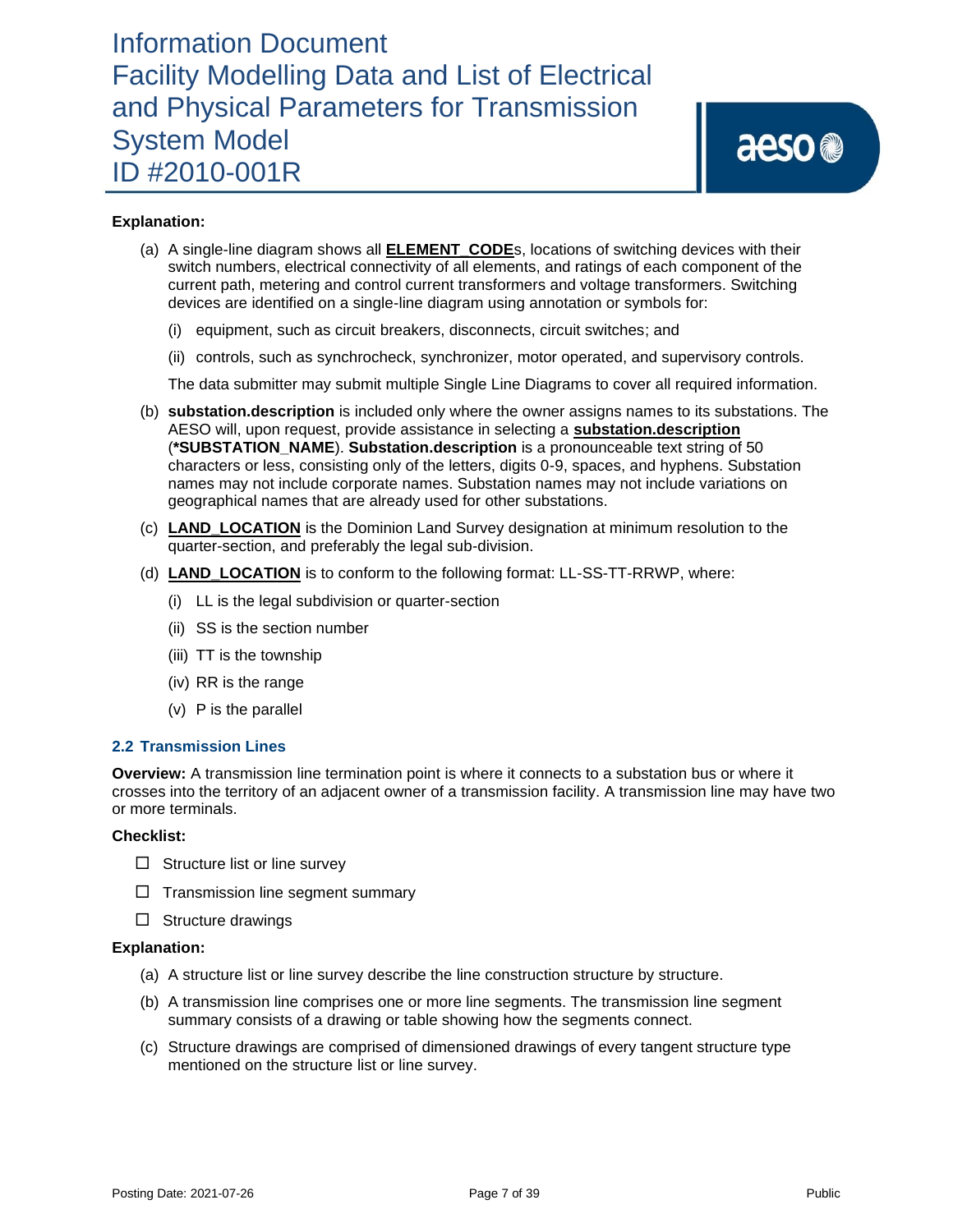### **Explanation:**

- (a) A single-line diagram shows all **ELEMENT\_CODE**s, locations of switching devices with their switch numbers, electrical connectivity of all elements, and ratings of each component of the current path, metering and control current transformers and voltage transformers. Switching devices are identified on a single-line diagram using annotation or symbols for:
	- (i) equipment, such as circuit breakers, disconnects, circuit switches; and
	- (ii) controls, such as synchrocheck, synchronizer, motor operated, and supervisory controls.

The data submitter may submit multiple Single Line Diagrams to cover all required information.

- (b) **substation.description** is included only where the owner assigns names to its substations. The AESO will, upon request, provide assistance in selecting a **substation.description** (**\*SUBSTATION\_NAME**). **Substation.description** is a pronounceable text string of 50 characters or less, consisting only of the letters, digits 0-9, spaces, and hyphens. Substation names may not include corporate names. Substation names may not include variations on geographical names that are already used for other substations.
- (c) **LAND\_LOCATION** is the Dominion Land Survey designation at minimum resolution to the quarter-section, and preferably the legal sub-division.
- (d) **LAND\_LOCATION** is to conform to the following format: LL-SS-TT-RRWP, where:
	- (i) LL is the legal subdivision or quarter-section
	- (ii) SS is the section number
	- (iii) TT is the township
	- (iv) RR is the range
	- (v) P is the parallel

### **2.2 Transmission Lines**

**Overview:** A transmission line termination point is where it connects to a substation bus or where it crosses into the territory of an adjacent owner of a transmission facility. A transmission line may have two or more terminals.

#### **Checklist:**

- $\Box$  Structure list or line survey
- $\Box$  Transmission line segment summary
- $\Box$  Structure drawings

- (a) A structure list or line survey describe the line construction structure by structure.
- (b) A transmission line comprises one or more line segments. The transmission line segment summary consists of a drawing or table showing how the segments connect.
- (c) Structure drawings are comprised of dimensioned drawings of every tangent structure type mentioned on the structure list or line survey.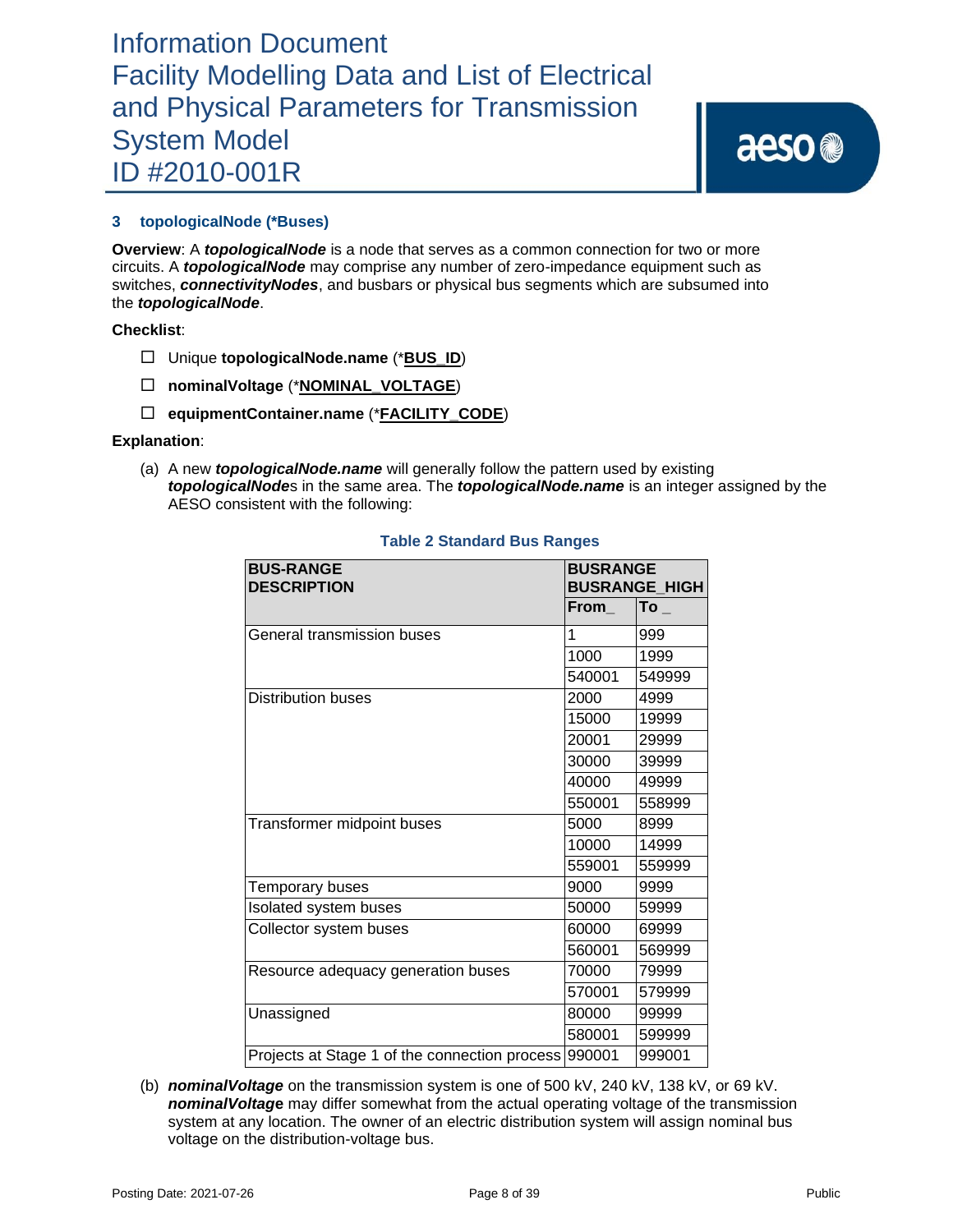aeso<sup>®</sup>

### **3 topologicalNode (\*Buses)**

**Overview**: A *topologicalNode* is a node that serves as a common connection for two or more circuits. A *topologicalNode* may comprise any number of zero-impedance equipment such as switches, *connectivityNodes*, and busbars or physical bus segments which are subsumed into the *topologicalNode*.

**Checklist**:

- Unique **topologicalNode.name** (\***BUS\_ID**)
- **nominalVoltage** (\***NOMINAL\_VOLTAGE**)
- **equipmentContainer.name** (\***FACILITY\_CODE**)

### **Explanation**:

(a) A new *topologicalNode.name* will generally follow the pattern used by existing *topologicalNode*s in the same area. The *topologicalNode.name* is an integer assigned by the AESO consistent with the following:

| <b>BUS-RANGE</b><br><b>DESCRIPTION</b>        | <b>BUSRANGE</b><br><b>BUSRANGE_HIGH</b> |        |  |
|-----------------------------------------------|-----------------------------------------|--------|--|
|                                               | From                                    | $To_$  |  |
| General transmission buses                    | 1                                       | 999    |  |
|                                               | 1000                                    | 1999   |  |
|                                               | 540001                                  | 549999 |  |
| <b>Distribution buses</b>                     | 2000                                    | 4999   |  |
|                                               | 15000                                   | 19999  |  |
|                                               | 20001                                   | 29999  |  |
|                                               | 30000                                   | 39999  |  |
|                                               | 40000                                   | 49999  |  |
|                                               | 550001                                  | 558999 |  |
| Transformer midpoint buses                    | 5000                                    | 8999   |  |
|                                               | 10000                                   | 14999  |  |
|                                               | 559001                                  | 559999 |  |
| Temporary buses                               | 9000                                    | 9999   |  |
| Isolated system buses                         | 50000                                   | 59999  |  |
| Collector system buses                        | 60000                                   | 69999  |  |
|                                               | 560001                                  | 569999 |  |
| Resource adequacy generation buses            | 70000                                   | 79999  |  |
|                                               | 570001                                  | 579999 |  |
| Unassigned                                    | 80000                                   | 99999  |  |
|                                               | 580001                                  | 599999 |  |
| Projects at Stage 1 of the connection process | 990001                                  | 999001 |  |

### **Table 2 Standard Bus Ranges**

(b) *nominalVoltage* on the transmission system is one of 500 kV, 240 kV, 138 kV, or 69 kV. *nominalVoltag***e** may differ somewhat from the actual operating voltage of the transmission system at any location. The owner of an electric distribution system will assign nominal bus voltage on the distribution-voltage bus.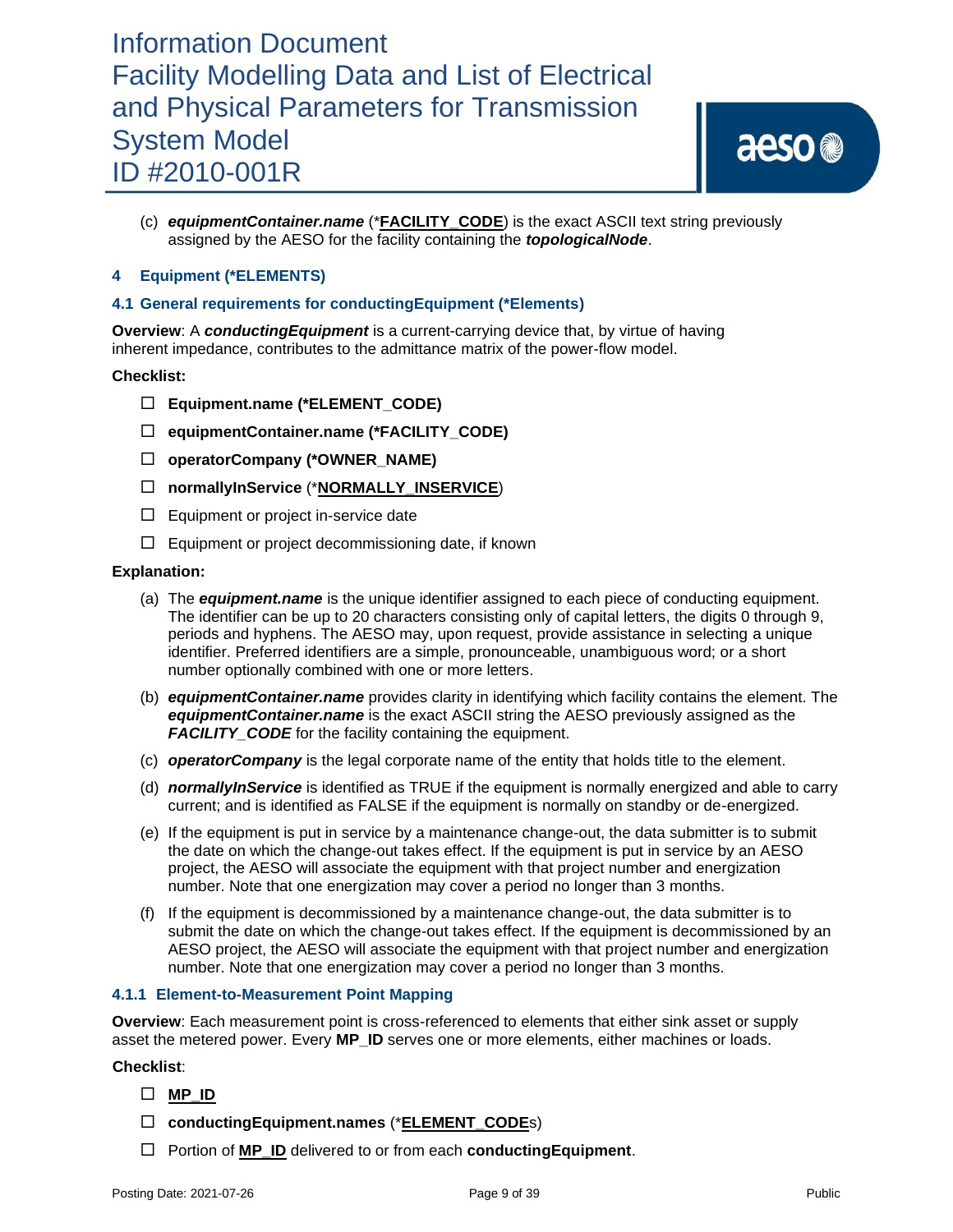(c) *equipmentContainer.name* (\***FACILITY\_CODE**) is the exact ASCII text string previously assigned by the AESO for the facility containing the *topologicalNode*.

### **4 Equipment (\*ELEMENTS)**

### **4.1 General requirements for conductingEquipment (\*Elements)**

**Overview**: A *conductingEquipment* is a current-carrying device that, by virtue of having inherent impedance, contributes to the admittance matrix of the power-flow model.

### **Checklist:**

- **Equipment.name (\*ELEMENT\_CODE)**
- **equipmentContainer.name (\*FACILITY\_CODE)**
- **operatorCompany (\*OWNER\_NAME)**
- **normallyInService** (\***NORMALLY\_INSERVICE**)
- $\Box$  Equipment or project in-service date
- $\Box$  Equipment or project decommissioning date, if known

### **Explanation:**

- (a) The *equipment.name* is the unique identifier assigned to each piece of conducting equipment. The identifier can be up to 20 characters consisting only of capital letters, the digits 0 through 9, periods and hyphens. The AESO may, upon request, provide assistance in selecting a unique identifier. Preferred identifiers are a simple, pronounceable, unambiguous word; or a short number optionally combined with one or more letters.
- (b) *equipmentContainer.name* provides clarity in identifying which facility contains the element. The *equipmentContainer.name* is the exact ASCII string the AESO previously assigned as the *FACILITY\_CODE* for the facility containing the equipment.
- (c) *operatorCompany* is the legal corporate name of the entity that holds title to the element.
- (d) *normallyInService* is identified as TRUE if the equipment is normally energized and able to carry current; and is identified as FALSE if the equipment is normally on standby or de-energized.
- (e) If the equipment is put in service by a maintenance change-out, the data submitter is to submit the date on which the change-out takes effect. If the equipment is put in service by an AESO project, the AESO will associate the equipment with that project number and energization number. Note that one energization may cover a period no longer than 3 months.
- (f) If the equipment is decommissioned by a maintenance change-out, the data submitter is to submit the date on which the change-out takes effect. If the equipment is decommissioned by an AESO project, the AESO will associate the equipment with that project number and energization number. Note that one energization may cover a period no longer than 3 months.

### **4.1.1 Element-to-Measurement Point Mapping**

**Overview**: Each measurement point is cross-referenced to elements that either sink asset or supply asset the metered power. Every **MP\_ID** serves one or more elements, either machines or loads.

### **Checklist**:

### **MP\_ID**

- **conductingEquipment.names** (\***ELEMENT\_CODE**s)
- □ Portion of **MP\_ID** delivered to or from each **conductingEquipment**.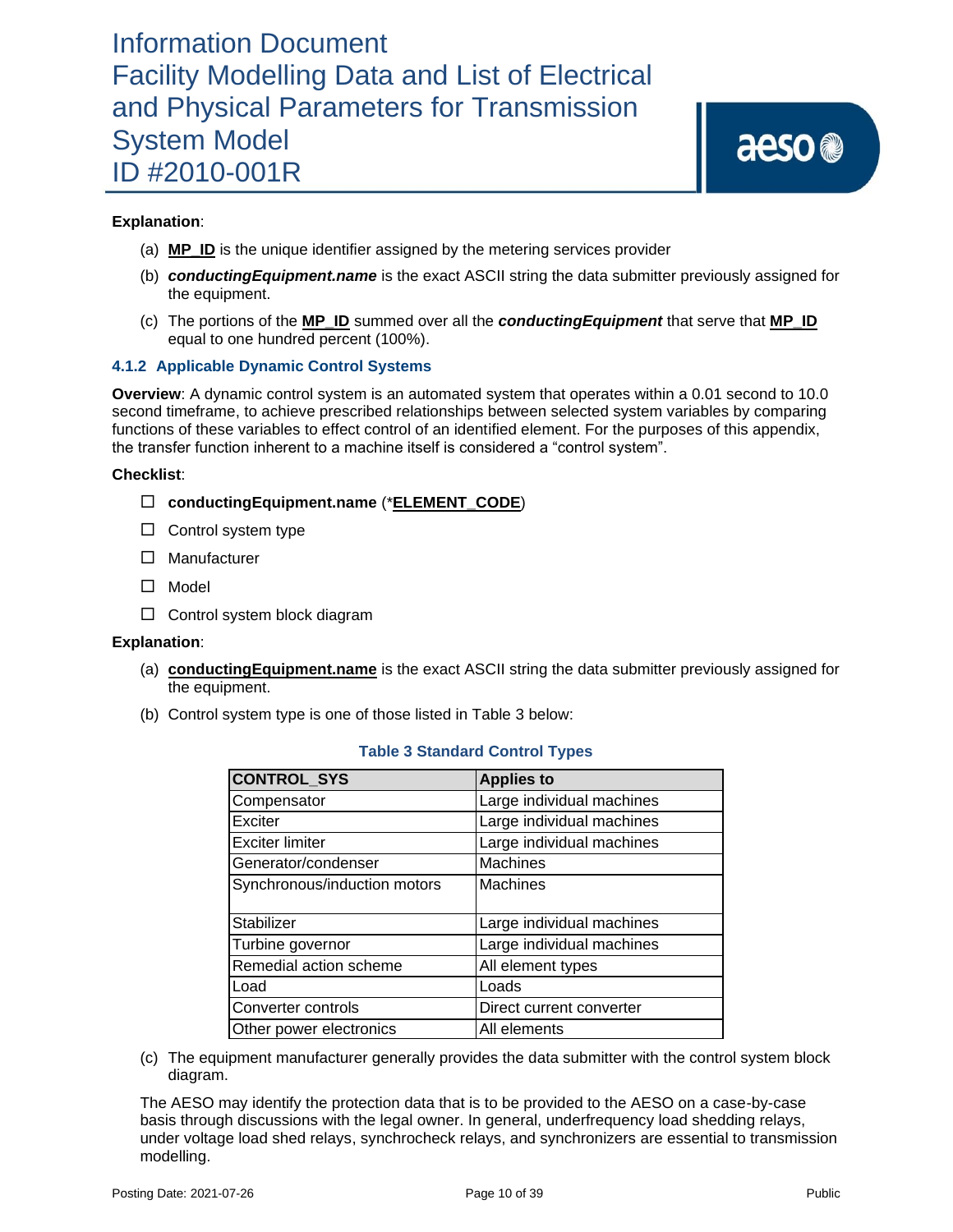### **Explanation**:

- (a) **MP\_ID** is the unique identifier assigned by the metering services provider
- (b) *conductingEquipment.name* is the exact ASCII string the data submitter previously assigned for the equipment.
- (c) The portions of the **MP\_ID** summed over all the *conductingEquipment* that serve that **MP\_ID** equal to one hundred percent (100%).

### **4.1.2 Applicable Dynamic Control Systems**

**Overview**: A dynamic control system is an automated system that operates within a 0.01 second to 10.0 second timeframe, to achieve prescribed relationships between selected system variables by comparing functions of these variables to effect control of an identified element. For the purposes of this appendix, the transfer function inherent to a machine itself is considered a "control system".

### **Checklist**:

- **conductingEquipment.name** (\***ELEMENT\_CODE**)
- $\Box$  Control system type
- □ Manufacturer
- □ Model
- $\Box$  Control system block diagram

### **Explanation**:

- (a) **conductingEquipment.name** is the exact ASCII string the data submitter previously assigned for the equipment.
- (b) Control system type is one of those listed in Table 3 below:

| <b>CONTROL_SYS</b>           | <b>Applies to</b>         |  |
|------------------------------|---------------------------|--|
| Compensator                  | Large individual machines |  |
| Exciter                      | Large individual machines |  |
| <b>Exciter limiter</b>       | Large individual machines |  |
| Generator/condenser          | Machines                  |  |
| Synchronous/induction motors | <b>Machines</b>           |  |
|                              |                           |  |
| Stabilizer                   | Large individual machines |  |
| Turbine governor             | Large individual machines |  |
| Remedial action scheme       | All element types         |  |
| Load                         | Loads                     |  |
| Converter controls           | Direct current converter  |  |
| Other power electronics      | All elements              |  |

### **Table 3 Standard Control Types**

(c) The equipment manufacturer generally provides the data submitter with the control system block diagram.

The AESO may identify the protection data that is to be provided to the AESO on a case-by-case basis through discussions with the legal owner. In general, underfrequency load shedding relays, under voltage load shed relays, synchrocheck relays, and synchronizers are essential to transmission modelling.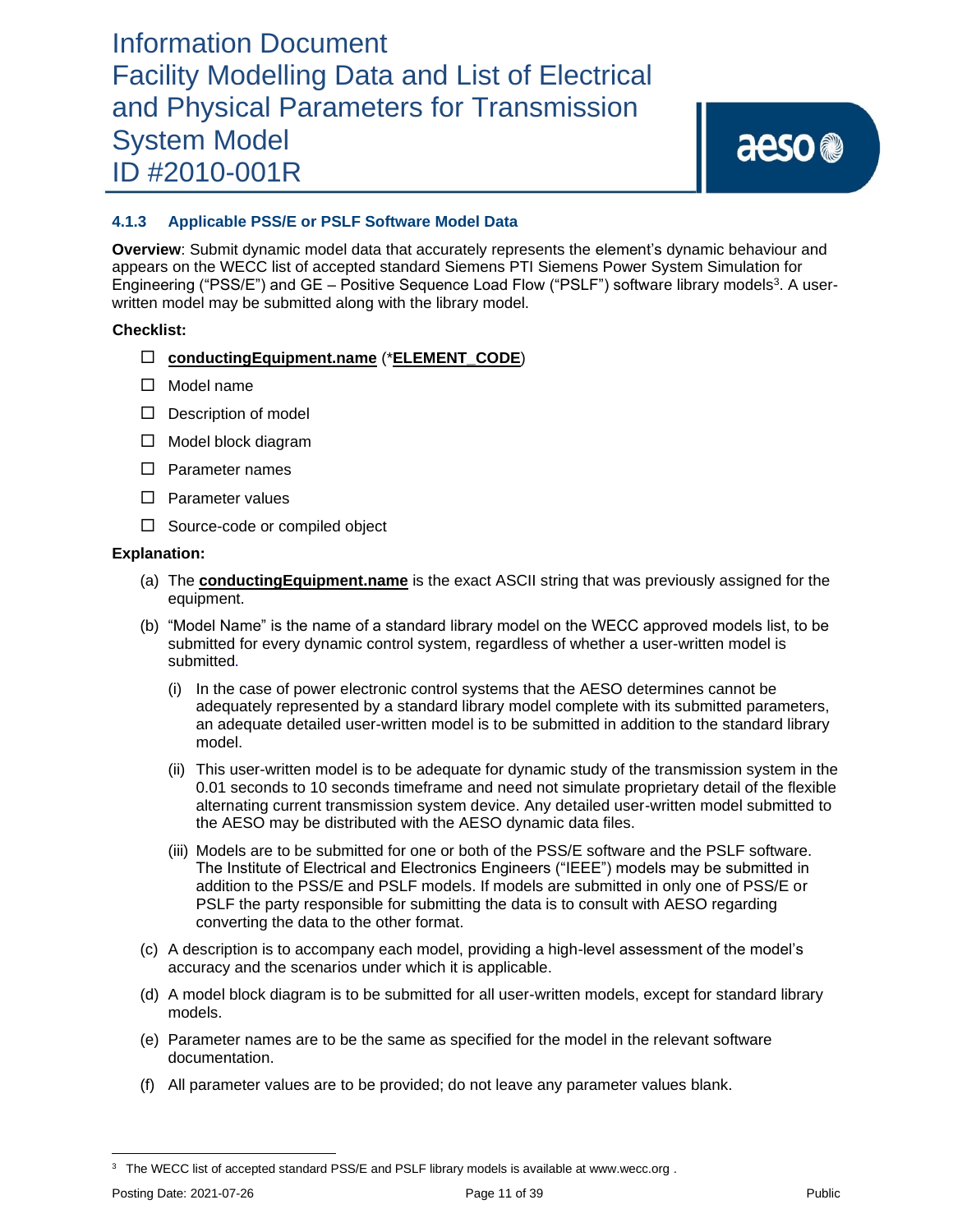aeso<sup>®</sup>

### **4.1.3 Applicable PSS/E or PSLF Software Model Data**

**Overview**: Submit dynamic model data that accurately represents the element's dynamic behaviour and appears on the WECC list of accepted standard Siemens PTI Siemens Power System Simulation for Engineering ("PSS/E") and GE – Positive Sequence Load Flow ("PSLF") software library models<sup>3</sup>. A userwritten model may be submitted along with the library model.

### **Checklist:**

- **conductingEquipment.name** (\***ELEMENT\_CODE**)
- $\square$  Model name
- $\Box$  Description of model
- □ Model block diagram
- $\square$  Parameter names
- $\square$  Parameter values
- $\Box$  Source-code or compiled object

- (a) The **conductingEquipment.name** is the exact ASCII string that was previously assigned for the equipment.
- (b) "Model Name" is the name of a standard library model on the WECC approved models list, to be submitted for every dynamic control system, regardless of whether a user-written model is submitted*.*
	- (i) In the case of power electronic control systems that the AESO determines cannot be adequately represented by a standard library model complete with its submitted parameters, an adequate detailed user-written model is to be submitted in addition to the standard library model.
	- (ii) This user-written model is to be adequate for dynamic study of the transmission system in the 0.01 seconds to 10 seconds timeframe and need not simulate proprietary detail of the flexible alternating current transmission system device. Any detailed user-written model submitted to the AESO may be distributed with the AESO dynamic data files.
	- (iii) Models are to be submitted for one or both of the PSS/E software and the PSLF software. The Institute of Electrical and Electronics Engineers ("IEEE") models may be submitted in addition to the PSS/E and PSLF models. If models are submitted in only one of PSS/E or PSLF the party responsible for submitting the data is to consult with AESO regarding converting the data to the other format.
- (c) A description is to accompany each model, providing a high-level assessment of the model's accuracy and the scenarios under which it is applicable.
- (d) A model block diagram is to be submitted for all user-written models, except for standard library models.
- (e) Parameter names are to be the same as specified for the model in the relevant software documentation.
- (f) All parameter values are to be provided; do not leave any parameter values blank.

<sup>&</sup>lt;sup>3</sup> The WECC list of accepted standard PSS/E and PSLF library models is available at www.wecc.org.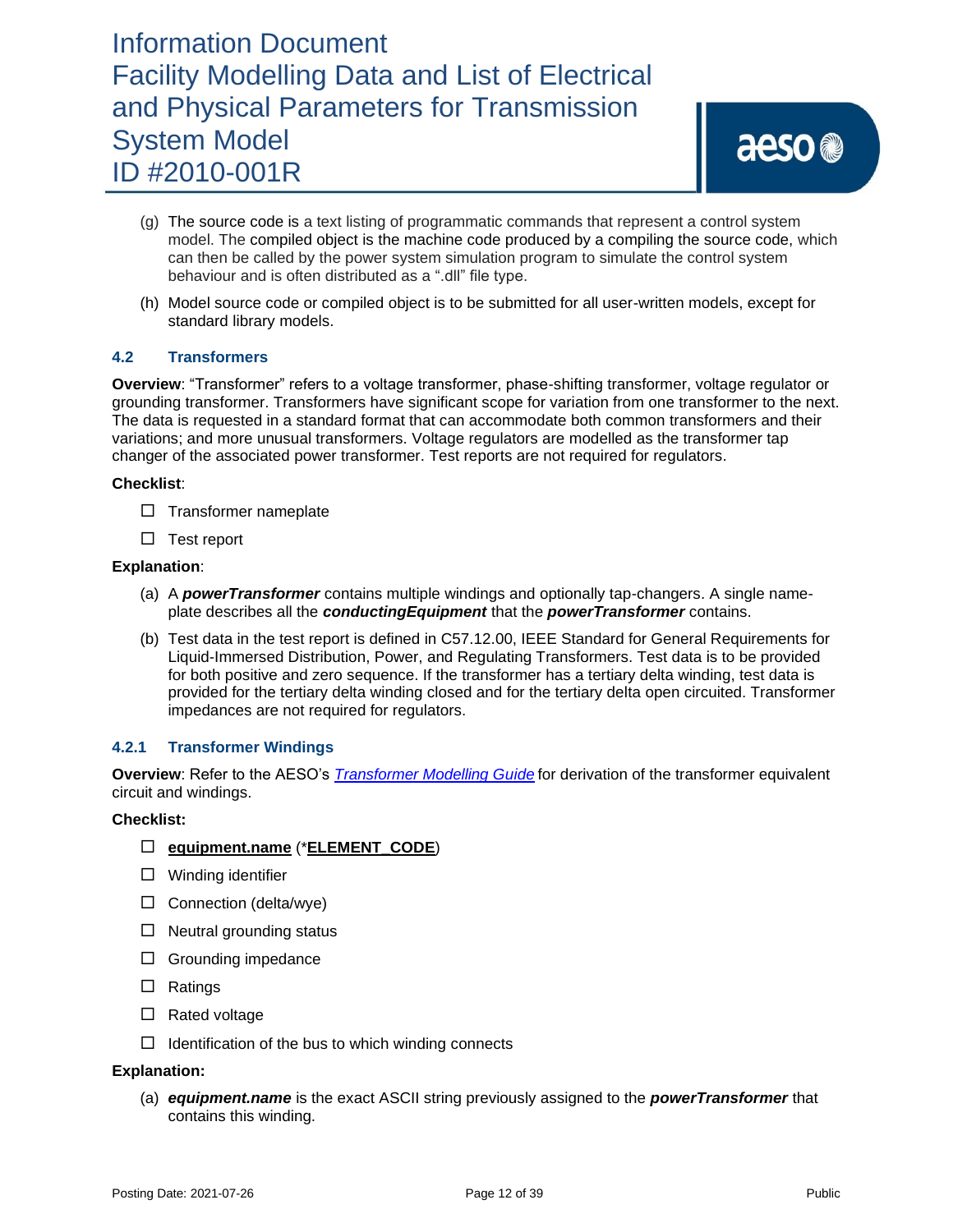- (g) The source code is a text listing of programmatic commands that represent a control system model. The compiled object is the machine code produced by a compiling the source code, which can then be called by the power system simulation program to simulate the control system behaviour and is often distributed as a ".dll" file type.
- (h) Model source code or compiled object is to be submitted for all user-written models, except for standard library models.

### **4.2 Transformers**

**Overview**: "Transformer" refers to a voltage transformer, phase-shifting transformer, voltage regulator or grounding transformer. Transformers have significant scope for variation from one transformer to the next. The data is requested in a standard format that can accommodate both common transformers and their variations; and more unusual transformers. Voltage regulators are modelled as the transformer tap changer of the associated power transformer. Test reports are not required for regulators.

### **Checklist**:

- $\Box$  Transformer nameplate
- $\Box$  Test report

#### **Explanation**:

- (a) A *powerTransformer* contains multiple windings and optionally tap-changers. A single nameplate describes all the *conductingEquipment* that the *powerTransformer* contains.
- (b) Test data in the test report is defined in C57.12.00, IEEE Standard for General Requirements for Liquid-Immersed Distribution, Power, and Regulating Transformers. Test data is to be provided for both positive and zero sequence. If the transformer has a tertiary delta winding, test data is provided for the tertiary delta winding closed and for the tertiary delta open circuited. Transformer impedances are not required for regulators.

### **4.2.1 Transformer Windings**

**Overview**: Refer to the AESO's *[Transformer](https://www.aeso.ca/rules-standards-and-tariff/iso-rules/section-502-15-reporting-facility-modelling-data/) Modelling Guide* for derivation of the transformer equivalent circuit and windings.

#### **Checklist:**

- **equipment.name** (\***ELEMENT\_CODE**)
- $\Box$  Winding identifier
- $\Box$  Connection (delta/wye)
- $\Box$  Neutral grounding status
- $\Box$  Grounding impedance
- $\Box$  Ratings
- $\Box$  Rated voltage
- $\Box$  Identification of the bus to which winding connects

#### **Explanation:**

(a) *equipment.name* is the exact ASCII string previously assigned to the *powerTransformer* that contains this winding.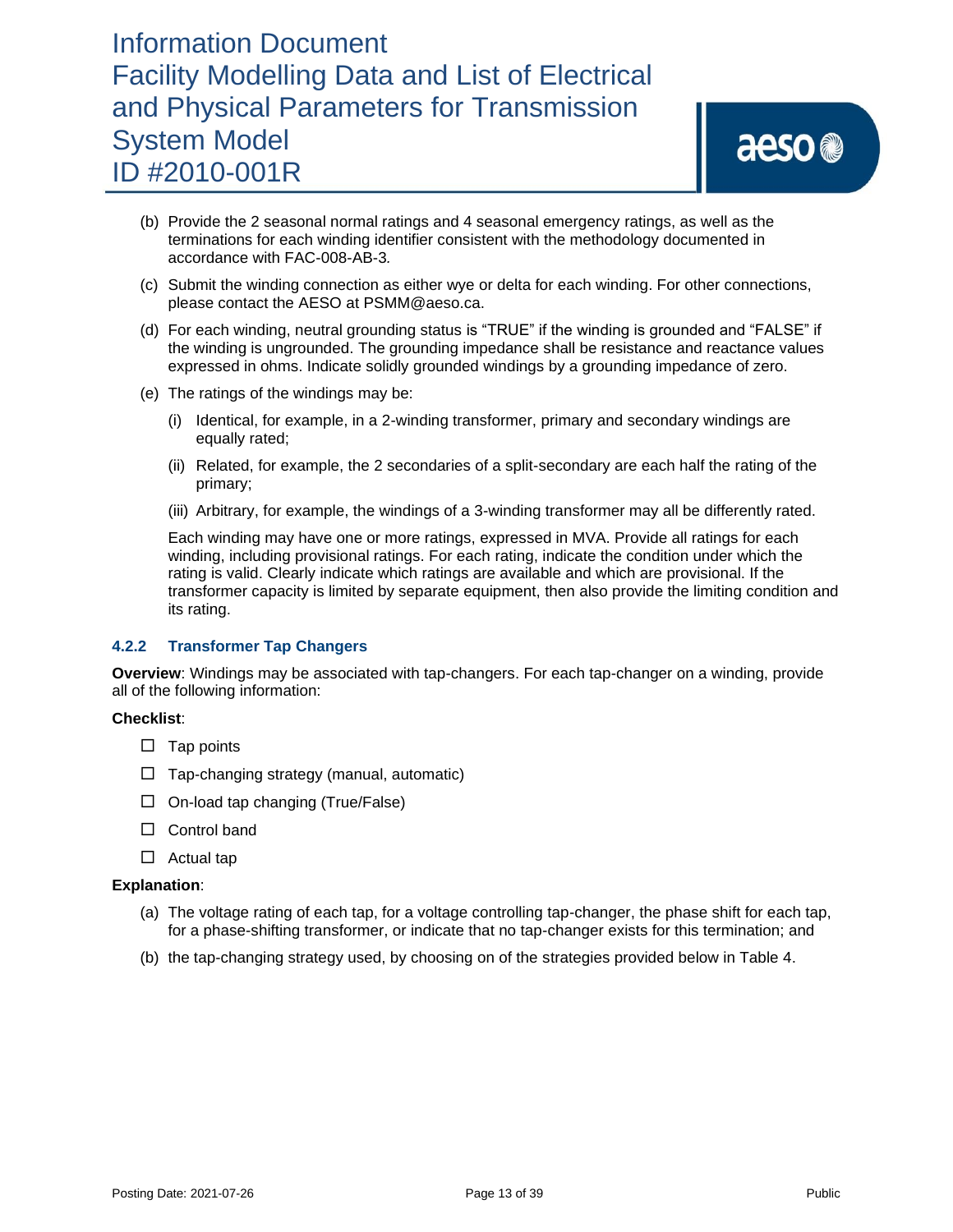aeso<sup>®</sup>

- (b) Provide the 2 seasonal normal ratings and 4 seasonal emergency ratings, as well as the terminations for each winding identifier consistent with the methodology documented in accordance with FAC-008-AB-3*.*
- (c) Submit the winding connection as either wye or delta for each winding. For other connections, please contact the AESO at PSMM@aeso.ca.
- (d) For each winding, neutral grounding status is "TRUE" if the winding is grounded and "FALSE" if the winding is ungrounded. The grounding impedance shall be resistance and reactance values expressed in ohms. Indicate solidly grounded windings by a grounding impedance of zero.
- (e) The ratings of the windings may be:
	- (i) Identical, for example, in a 2-winding transformer, primary and secondary windings are equally rated;
	- (ii) Related, for example, the 2 secondaries of a split-secondary are each half the rating of the primary;
	- (iii) Arbitrary, for example, the windings of a 3-winding transformer may all be differently rated.

Each winding may have one or more ratings, expressed in MVA. Provide all ratings for each winding, including provisional ratings. For each rating, indicate the condition under which the rating is valid. Clearly indicate which ratings are available and which are provisional. If the transformer capacity is limited by separate equipment, then also provide the limiting condition and its rating.

### **4.2.2 Transformer Tap Changers**

**Overview**: Windings may be associated with tap-changers. For each tap-changer on a winding, provide all of the following information:

### **Checklist**:

- $\square$  Tap points
- $\Box$  Tap-changing strategy (manual, automatic)
- $\Box$  On-load tap changing (True/False)
- □ Control band
- $\Box$  Actual tap

- (a) The voltage rating of each tap, for a voltage controlling tap-changer, the phase shift for each tap, for a phase-shifting transformer, or indicate that no tap-changer exists for this termination; and
- (b) the tap-changing strategy used, by choosing on of the strategies provided below in Table 4.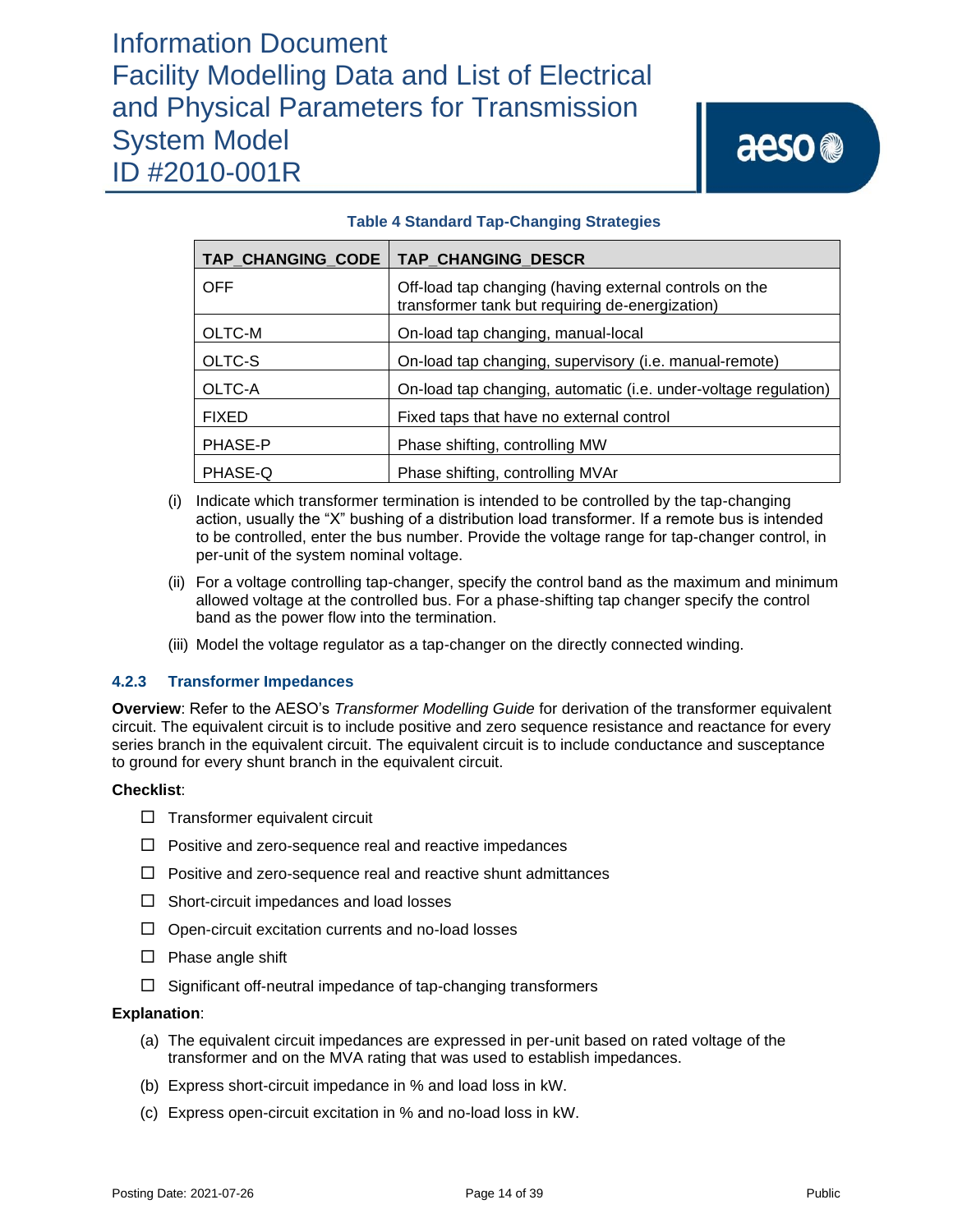### **TAP\_CHANGING\_CODE TAP\_CHANGING\_DESCR** OFF Off-load tap changing (having external controls on the transformer tank but requiring de-energization) OLTC-M On-load tap changing, manual-local OLTC-S On-load tap changing, supervisory (i.e. manual-remote) OLTC-A On-load tap changing, automatic (i.e. under-voltage regulation) FIXED Fixed taps that have no external control PHASE-P | Phase shifting, controlling MW PHASE-Q PHASE-Q PHASE-Q PHASE-Q

### **Table 4 Standard Tap-Changing Strategies**

- (i) Indicate which transformer termination is intended to be controlled by the tap-changing action, usually the "X" bushing of a distribution load transformer. If a remote bus is intended to be controlled, enter the bus number. Provide the voltage range for tap-changer control, in per-unit of the system nominal voltage.
- (ii) For a voltage controlling tap-changer, specify the control band as the maximum and minimum allowed voltage at the controlled bus. For a phase-shifting tap changer specify the control band as the power flow into the termination.
- (iii) Model the voltage regulator as a tap-changer on the directly connected winding.

### **4.2.3 Transformer Impedances**

**Overview**: Refer to the AESO's *Transformer Modelling Guide* for derivation of the transformer equivalent circuit. The equivalent circuit is to include positive and zero sequence resistance and reactance for every series branch in the equivalent circuit. The equivalent circuit is to include conductance and susceptance to ground for every shunt branch in the equivalent circuit.

### **Checklist**:

- $\Box$  Transformer equivalent circuit
- $\Box$  Positive and zero-sequence real and reactive impedances
- $\Box$  Positive and zero-sequence real and reactive shunt admittances
- $\Box$  Short-circuit impedances and load losses
- $\Box$  Open-circuit excitation currents and no-load losses
- $\square$  Phase angle shift
- $\Box$  Significant off-neutral impedance of tap-changing transformers

- (a) The equivalent circuit impedances are expressed in per-unit based on rated voltage of the transformer and on the MVA rating that was used to establish impedances.
- (b) Express short-circuit impedance in % and load loss in kW.
- (c) Express open-circuit excitation in % and no-load loss in kW.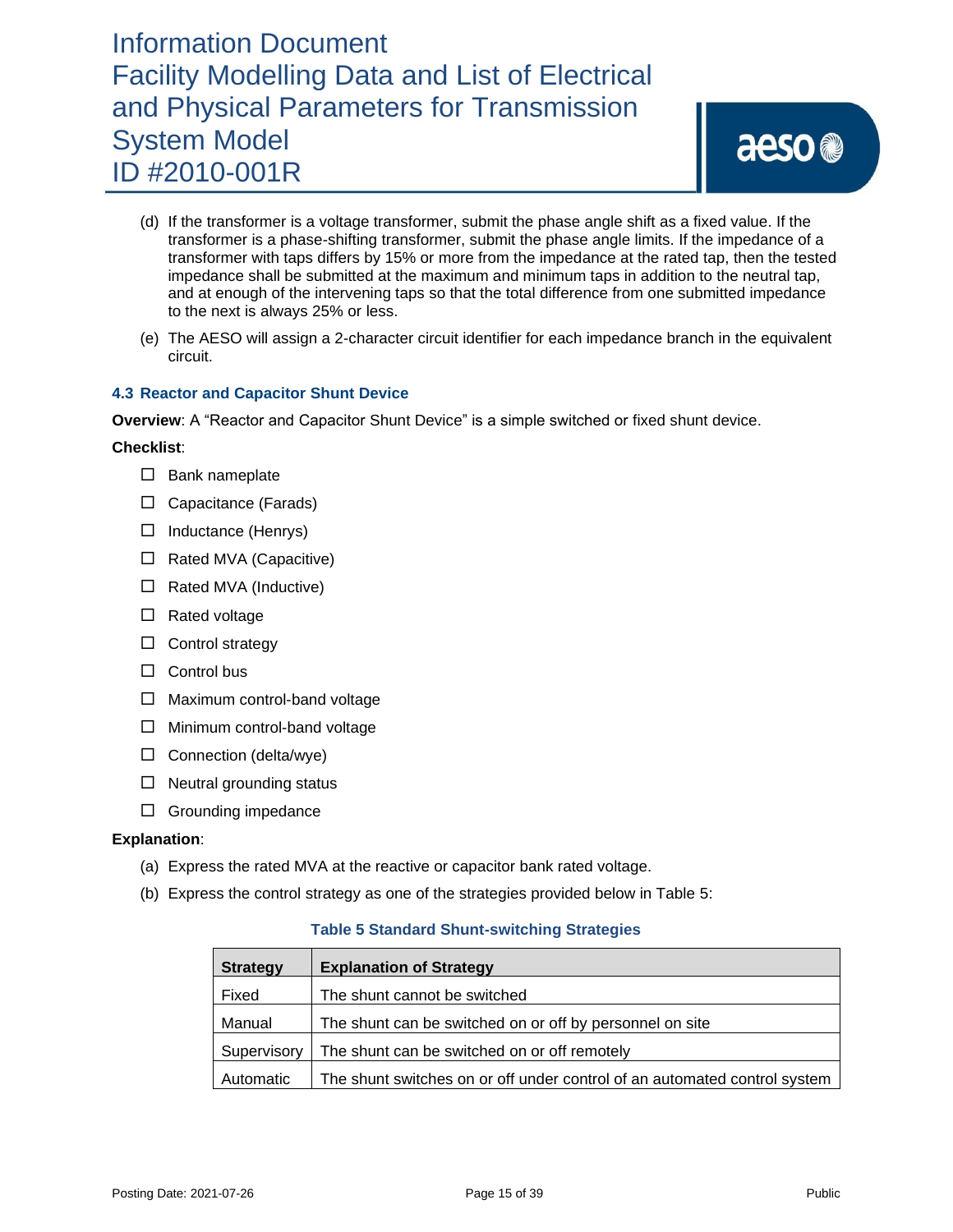- (d) If the transformer is a voltage transformer, submit the phase angle shift as a fixed value. If the transformer is a phase-shifting transformer, submit the phase angle limits. If the impedance of a transformer with taps differs by 15% or more from the impedance at the rated tap, then the tested impedance shall be submitted at the maximum and minimum taps in addition to the neutral tap, and at enough of the intervening taps so that the total difference from one submitted impedance to the next is always 25% or less.
- (e) The AESO will assign a 2-character circuit identifier for each impedance branch in the equivalent circuit.

### **4.3 Reactor and Capacitor Shunt Device**

**Overview**: A "Reactor and Capacitor Shunt Device" is a simple switched or fixed shunt device.

### **Checklist**:

- $\square$  Bank nameplate
- □ Capacitance (Farads)
- $\Box$  Inductance (Henrys)
- $\Box$  Rated MVA (Capacitive)
- $\Box$  Rated MVA (Inductive)
- $\square$  Rated voltage
- $\Box$  Control strategy
- $\Box$  Control bus
- $\Box$  Maximum control-band voltage
- $\Box$  Minimum control-band voltage
- $\Box$  Connection (delta/wye)
- $\Box$  Neutral grounding status
- $\Box$  Grounding impedance

### **Explanation**:

- (a) Express the rated MVA at the reactive or capacitor bank rated voltage.
- (b) Express the control strategy as one of the strategies provided below in Table 5:

### **Table 5 Standard Shunt-switching Strategies**

| <b>Strategy</b> | <b>Explanation of Strategy</b>                                            |
|-----------------|---------------------------------------------------------------------------|
| Fixed           | The shunt cannot be switched                                              |
| Manual          | The shunt can be switched on or off by personnel on site                  |
| Supervisory     | The shunt can be switched on or off remotely                              |
| Automatic       | The shunt switches on or off under control of an automated control system |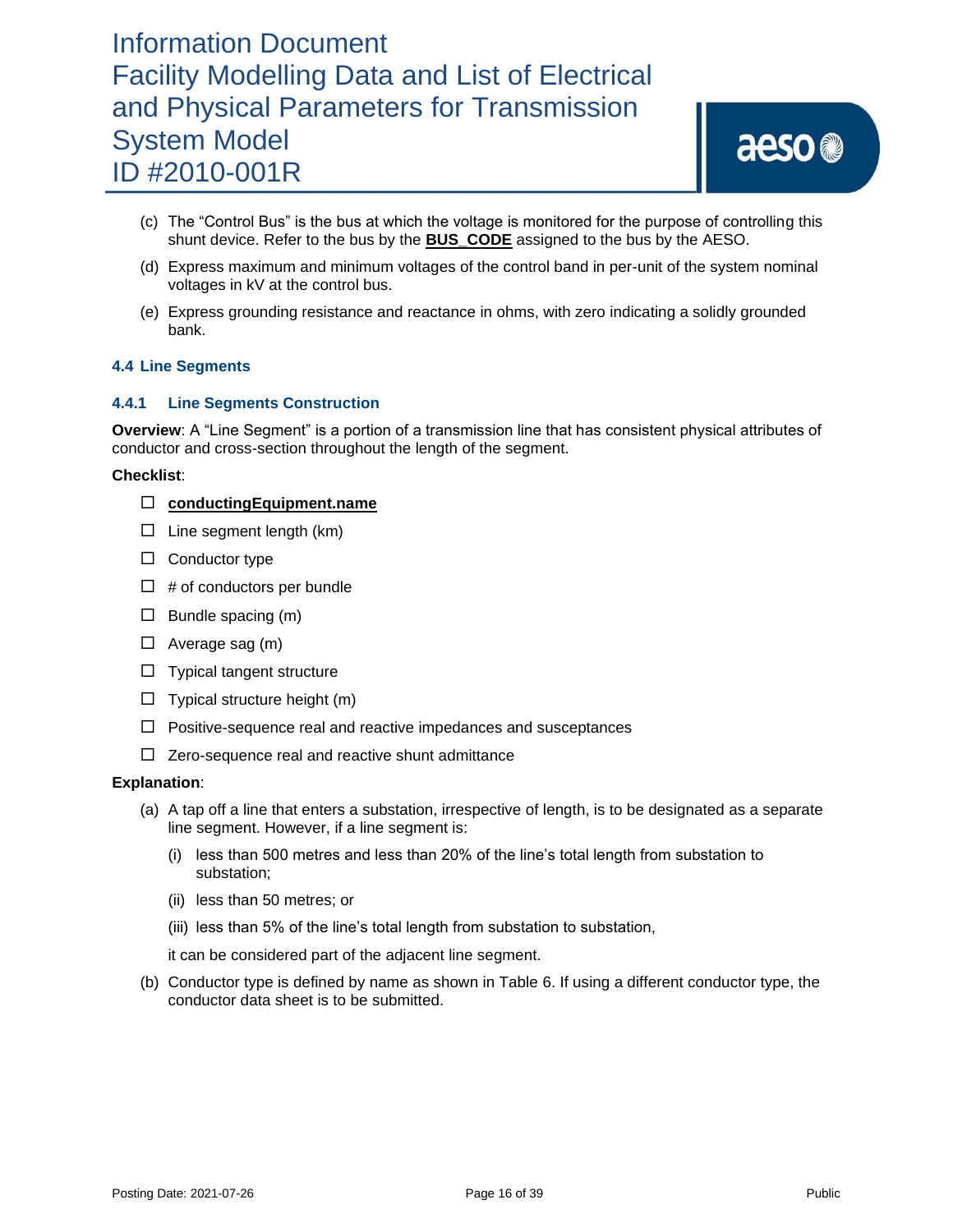# aeso<sup>®</sup>

- (c) The "Control Bus" is the bus at which the voltage is monitored for the purpose of controlling this shunt device. Refer to the bus by the **BUS\_CODE** assigned to the bus by the AESO.
- (d) Express maximum and minimum voltages of the control band in per-unit of the system nominal voltages in kV at the control bus.
- (e) Express grounding resistance and reactance in ohms, with zero indicating a solidly grounded bank.

### **4.4 Line Segments**

### **4.4.1 Line Segments Construction**

**Overview**: A "Line Segment" is a portion of a transmission line that has consistent physical attributes of conductor and cross-section throughout the length of the segment.

### **Checklist**:

- **conductingEquipment.name**
- $\Box$  Line segment length (km)
- $\Box$  Conductor type
- $\Box$  # of conductors per bundle
- $\Box$  Bundle spacing (m)
- $\Box$  Average sag (m)
- $\Box$  Typical tangent structure
- $\Box$  Typical structure height (m)
- $\Box$  Positive-sequence real and reactive impedances and susceptances
- $\Box$  Zero-sequence real and reactive shunt admittance

#### **Explanation**:

- (a) A tap off a line that enters a substation, irrespective of length, is to be designated as a separate line segment. However, if a line segment is:
	- (i) less than 500 metres and less than 20% of the line's total length from substation to substation;
	- (ii) less than 50 metres; or
	- (iii) less than 5% of the line's total length from substation to substation,

it can be considered part of the adjacent line segment.

(b) Conductor type is defined by name as shown in Table 6. If using a different conductor type, the conductor data sheet is to be submitted.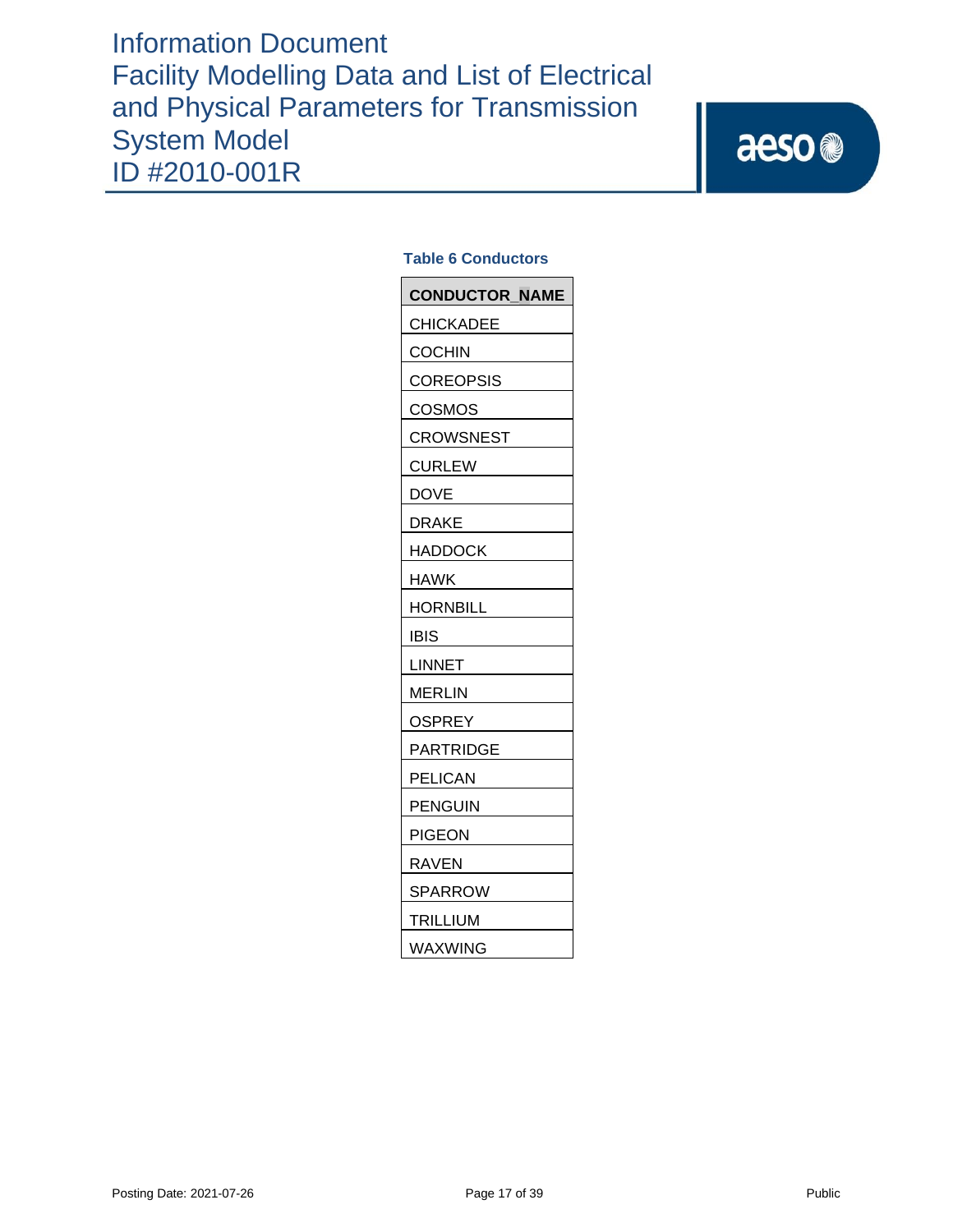### **Table 6 Conductors**

| <b>CONDUCTOR NAME</b> |
|-----------------------|
| <b>CHICKADEE</b>      |
| <b>COCHIN</b>         |
| <b>COREOPSIS</b>      |
| <b>COSMOS</b>         |
| <b>CROWSNEST</b>      |
| <b>CURLEW</b>         |
| DOVE                  |
| <b>DRAKE</b>          |
| <b>HADDOCK</b>        |
| HAWK                  |
| HORNBILL              |
| IBIS                  |
| LINNET                |
| <b>MERLIN</b>         |
| <b>OSPREY</b>         |
| PARTRIDGE             |
| <b>PELICAN</b>        |
| <b>PENGUIN</b>        |
| <b>PIGEON</b>         |
| RAVEN                 |
| <b>SPARROW</b>        |
| <b>TRILLIUM</b>       |
| WAXWING               |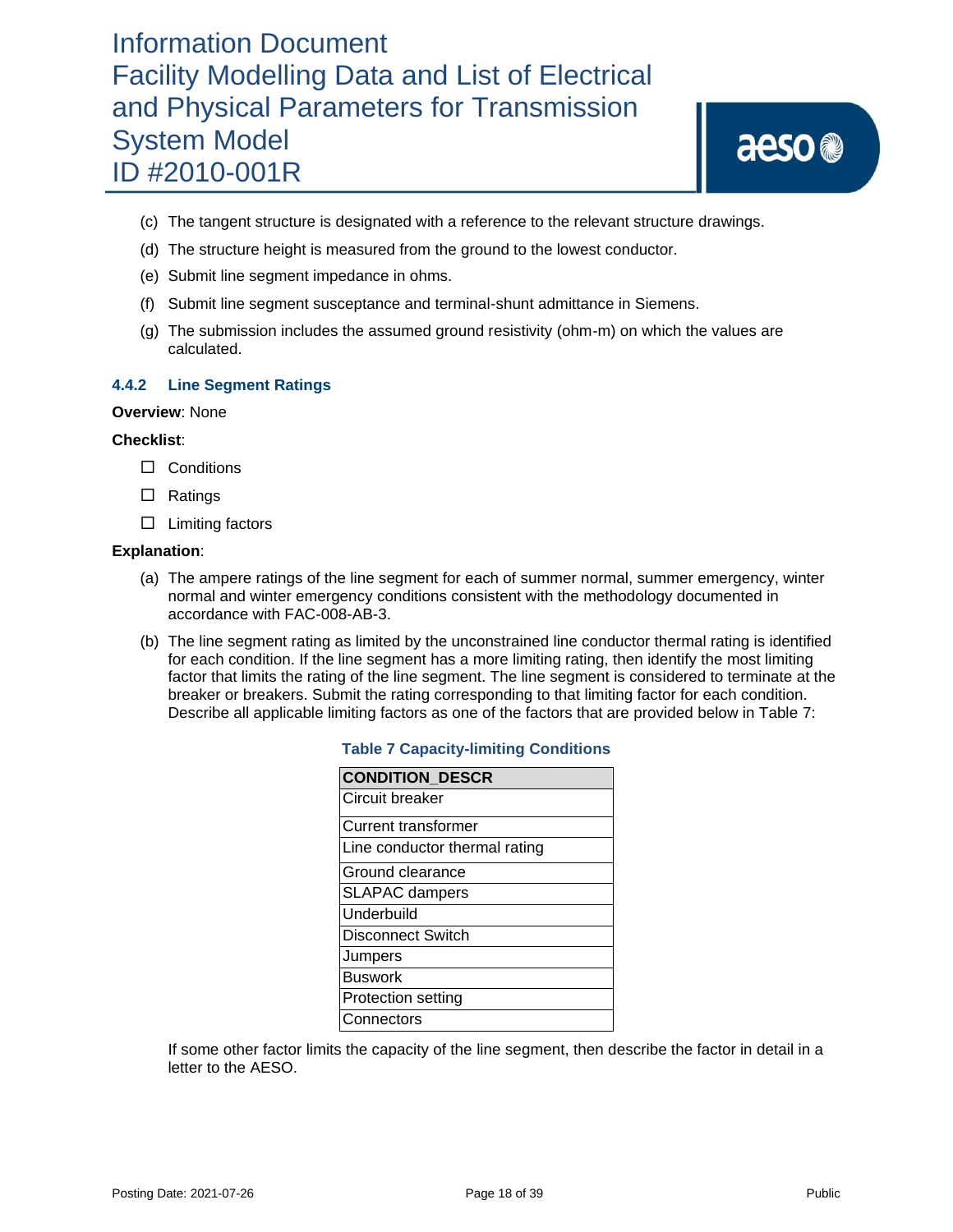# aeso<sup>®</sup>

- (c) The tangent structure is designated with a reference to the relevant structure drawings.
- (d) The structure height is measured from the ground to the lowest conductor.
- (e) Submit line segment impedance in ohms.
- (f) Submit line segment susceptance and terminal-shunt admittance in Siemens.
- (g) The submission includes the assumed ground resistivity (ohm-m) on which the values are calculated.

### **4.4.2 Line Segment Ratings**

### **Overview**: None

#### **Checklist**:

- □ Conditions
- □ Ratings
- $\Box$  Limiting factors

### **Explanation**:

- (a) The ampere ratings of the line segment for each of summer normal, summer emergency, winter normal and winter emergency conditions consistent with the methodology documented in accordance with FAC-008-AB-3.
- (b) The line segment rating as limited by the unconstrained line conductor thermal rating is identified for each condition. If the line segment has a more limiting rating, then identify the most limiting factor that limits the rating of the line segment. The line segment is considered to terminate at the breaker or breakers. Submit the rating corresponding to that limiting factor for each condition. Describe all applicable limiting factors as one of the factors that are provided below in Table 7:

| <b>CONDITION DESCR</b>        |
|-------------------------------|
| Circuit breaker               |
| Current transformer           |
| Line conductor thermal rating |
| Ground clearance              |
| <b>SLAPAC</b> dampers         |
| Underbuild                    |
| <b>Disconnect Switch</b>      |
| Jumpers                       |
| <b>Buswork</b>                |
| Protection setting            |
| Connectors                    |

### **Table 7 Capacity-limiting Conditions**

If some other factor limits the capacity of the line segment, then describe the factor in detail in a letter to the AESO.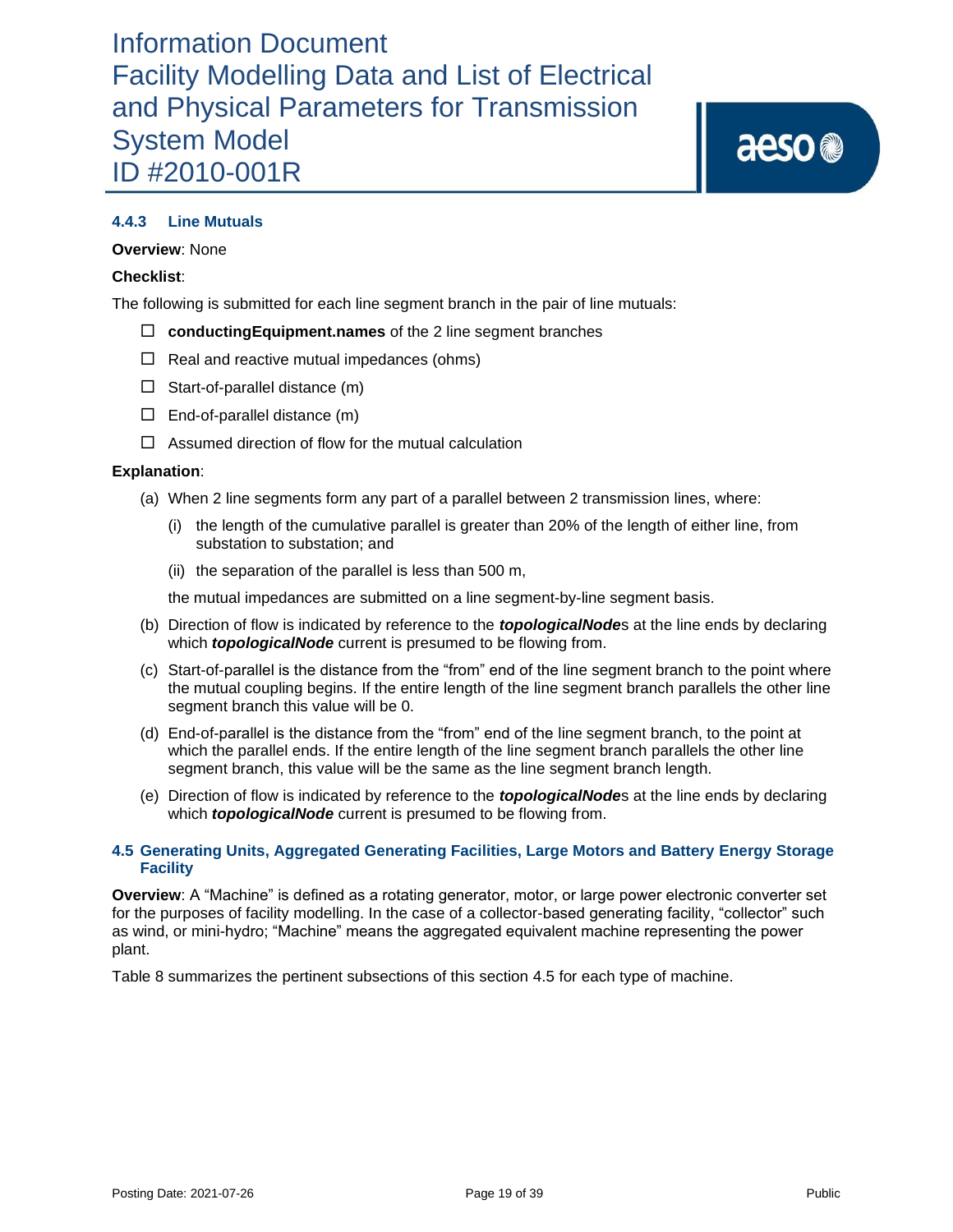aeso<sup>®</sup>

### **4.4.3 Line Mutuals**

### **Overview**: None

### **Checklist**:

The following is submitted for each line segment branch in the pair of line mutuals:

- **conductingEquipment.names** of the 2 line segment branches
- $\Box$  Real and reactive mutual impedances (ohms)
- $\Box$  Start-of-parallel distance (m)
- $\Box$  End-of-parallel distance (m)
- $\Box$  Assumed direction of flow for the mutual calculation

### **Explanation**:

- (a) When 2 line segments form any part of a parallel between 2 transmission lines, where:
	- (i) the length of the cumulative parallel is greater than 20% of the length of either line, from substation to substation; and
	- (ii) the separation of the parallel is less than 500 m,

the mutual impedances are submitted on a line segment-by-line segment basis.

- (b) Direction of flow is indicated by reference to the *topologicalNode*s at the line ends by declaring which *topologicalNode* current is presumed to be flowing from.
- (c) Start-of-parallel is the distance from the "from" end of the line segment branch to the point where the mutual coupling begins. If the entire length of the line segment branch parallels the other line segment branch this value will be 0.
- (d) End-of-parallel is the distance from the "from" end of the line segment branch, to the point at which the parallel ends. If the entire length of the line segment branch parallels the other line segment branch, this value will be the same as the line segment branch length.
- (e) Direction of flow is indicated by reference to the *topologicalNode*s at the line ends by declaring which *topologicalNode* current is presumed to be flowing from.

### **4.5 Generating Units, Aggregated Generating Facilities, Large Motors and Battery Energy Storage Facility**

**Overview**: A "Machine" is defined as a rotating generator, motor, or large power electronic converter set for the purposes of facility modelling. In the case of a collector-based generating facility, "collector" such as wind, or mini-hydro; "Machine" means the aggregated equivalent machine representing the power plant.

Table 8 summarizes the pertinent subsections of this section 4.5 for each type of machine.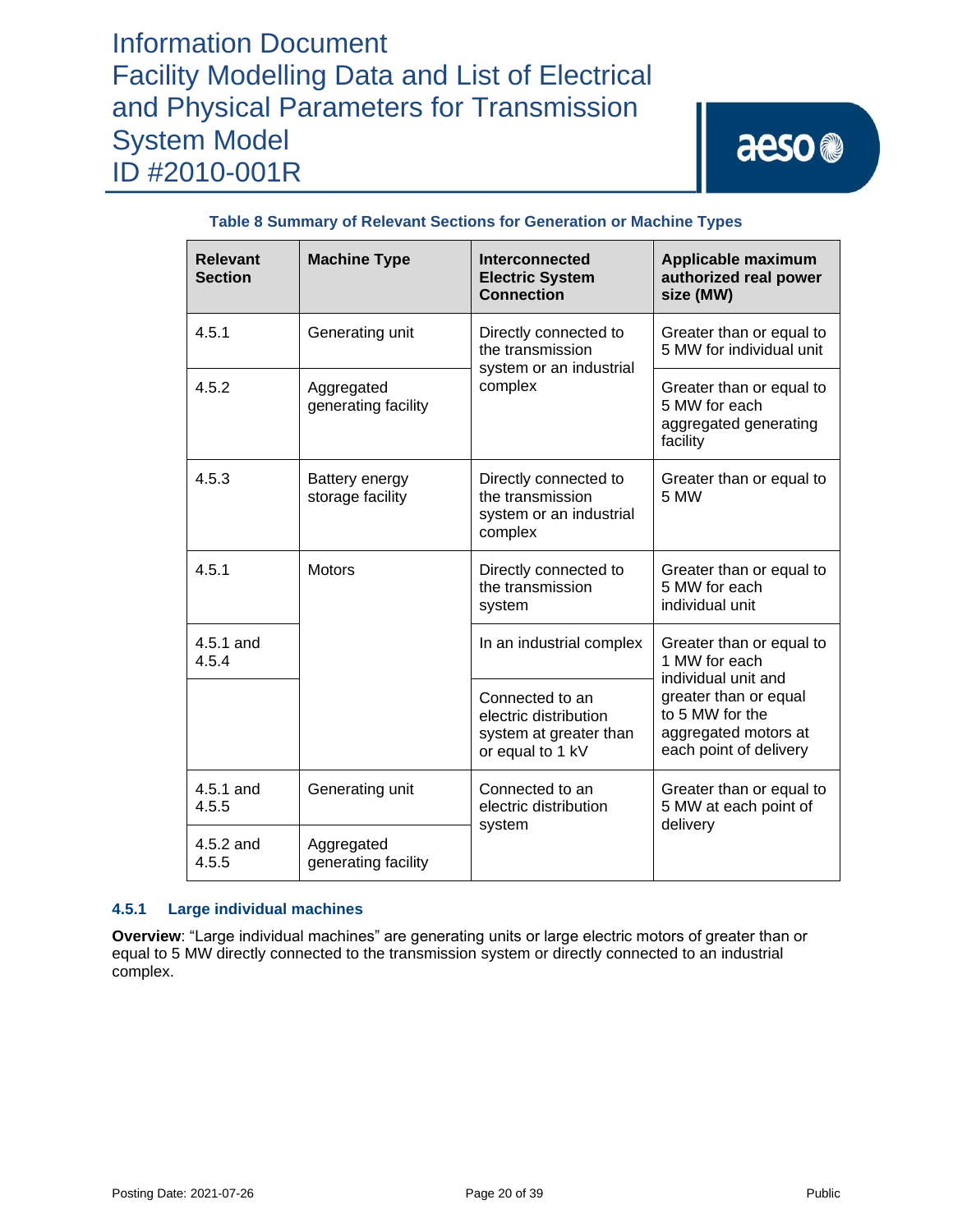# aeso<sup>®</sup>

| <b>Relevant</b><br><b>Section</b> | <b>Machine Type</b>                | Interconnected<br><b>Electric System</b><br><b>Connection</b>                          | Applicable maximum<br>authorized real power<br>size (MW)                                   |  |
|-----------------------------------|------------------------------------|----------------------------------------------------------------------------------------|--------------------------------------------------------------------------------------------|--|
| 4.5.1                             | Generating unit                    | Directly connected to<br>the transmission<br>system or an industrial                   | Greater than or equal to<br>5 MW for individual unit                                       |  |
| 4.5.2                             | Aggregated<br>generating facility  | complex                                                                                | Greater than or equal to<br>5 MW for each<br>aggregated generating<br>facility             |  |
| 4.5.3                             | Battery energy<br>storage facility | Directly connected to<br>the transmission<br>system or an industrial<br>complex        | Greater than or equal to<br>5 MW                                                           |  |
| 4.5.1                             | <b>Motors</b>                      | Directly connected to<br>the transmission<br>system                                    | Greater than or equal to<br>5 MW for each<br>individual unit                               |  |
| 4.5.1 and<br>4.5.4                |                                    | In an industrial complex                                                               | Greater than or equal to<br>1 MW for each<br>individual unit and                           |  |
|                                   |                                    | Connected to an<br>electric distribution<br>system at greater than<br>or equal to 1 kV | greater than or equal<br>to 5 MW for the<br>aggregated motors at<br>each point of delivery |  |
| 4.5.1 and<br>4.5.5                | Generating unit                    | Connected to an<br>electric distribution<br>system                                     | Greater than or equal to<br>5 MW at each point of<br>delivery                              |  |
| 4.5.2 and<br>4.5.5                | Aggregated<br>generating facility  |                                                                                        |                                                                                            |  |

### **Table 8 Summary of Relevant Sections for Generation or Machine Types**

### **4.5.1 Large individual machines**

**Overview**: "Large individual machines" are generating units or large electric motors of greater than or equal to 5 MW directly connected to the transmission system or directly connected to an industrial complex.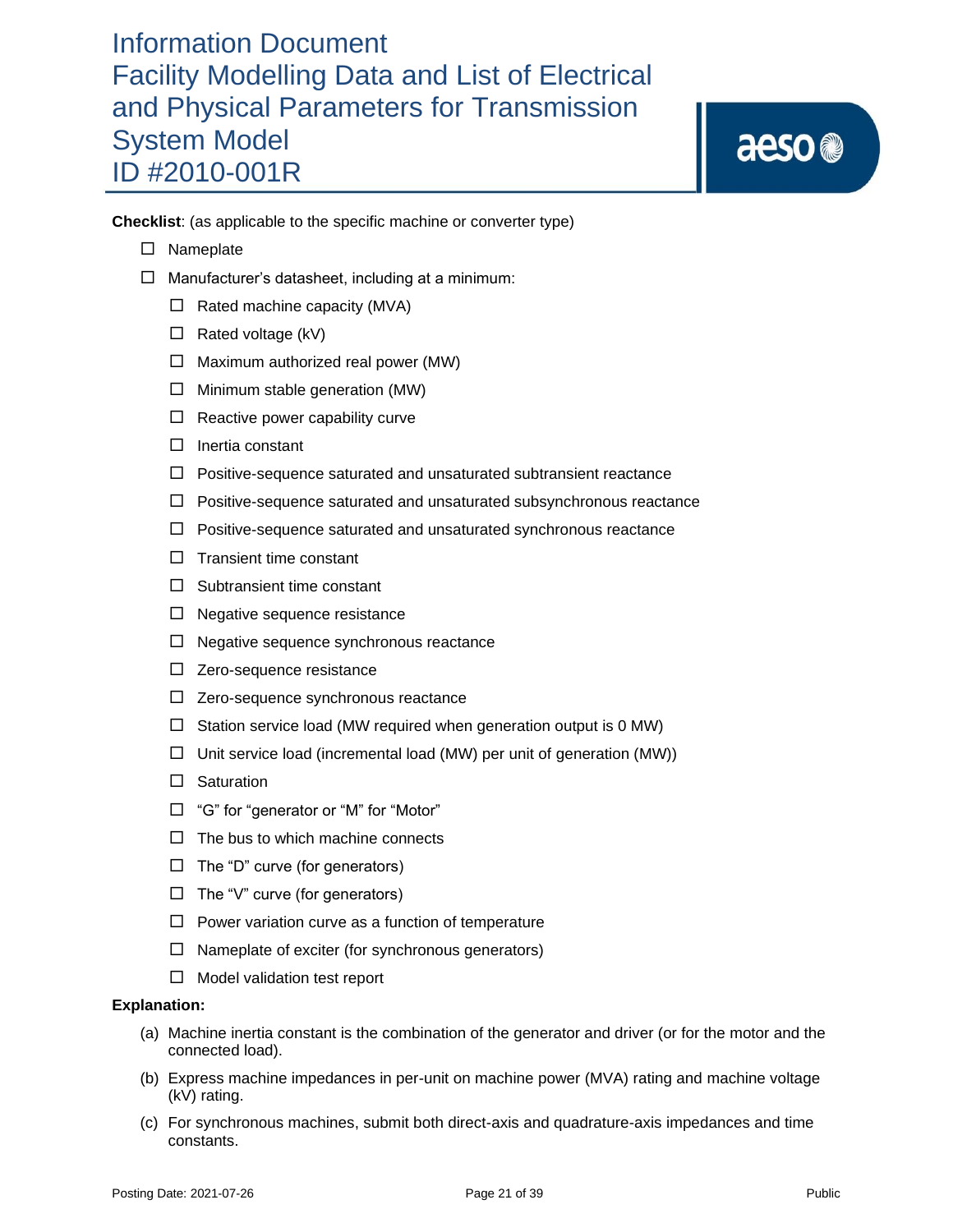aeso<sup>®</sup>

**Checklist**: (as applicable to the specific machine or converter type)

- □ Nameplate
- $\Box$  Manufacturer's datasheet, including at a minimum:
	- $\Box$  Rated machine capacity (MVA)
	- $\Box$  Rated voltage (kV)
	- $\Box$  Maximum authorized real power (MW)
	- $\Box$  Minimum stable generation (MW)
	- $\Box$  Reactive power capability curve
	- $\Box$  Inertia constant
	- $\Box$  Positive-sequence saturated and unsaturated subtransient reactance
	- $\Box$  Positive-sequence saturated and unsaturated subsynchronous reactance
	- $\Box$  Positive-sequence saturated and unsaturated synchronous reactance
	- $\Box$  Transient time constant
	- $\Box$  Subtransient time constant
	- $\Box$  Negative sequence resistance
	- $\Box$  Negative sequence synchronous reactance
	- $\Box$  Zero-sequence resistance
	- $\Box$  Zero-sequence synchronous reactance
	- $\Box$  Station service load (MW required when generation output is 0 MW)
	- $\Box$  Unit service load (incremental load (MW) per unit of generation (MW))
	- $\square$  Saturation
	- $\Box$  "G" for "generator or "M" for "Motor"
	- $\Box$  The bus to which machine connects
	- $\Box$  The "D" curve (for generators)
	- $\Box$  The "V" curve (for generators)
	- $\Box$  Power variation curve as a function of temperature
	- $\Box$  Nameplate of exciter (for synchronous generators)
	- $\Box$  Model validation test report

- (a) Machine inertia constant is the combination of the generator and driver (or for the motor and the connected load).
- (b) Express machine impedances in per-unit on machine power (MVA) rating and machine voltage (kV) rating.
- (c) For synchronous machines, submit both direct-axis and quadrature-axis impedances and time constants.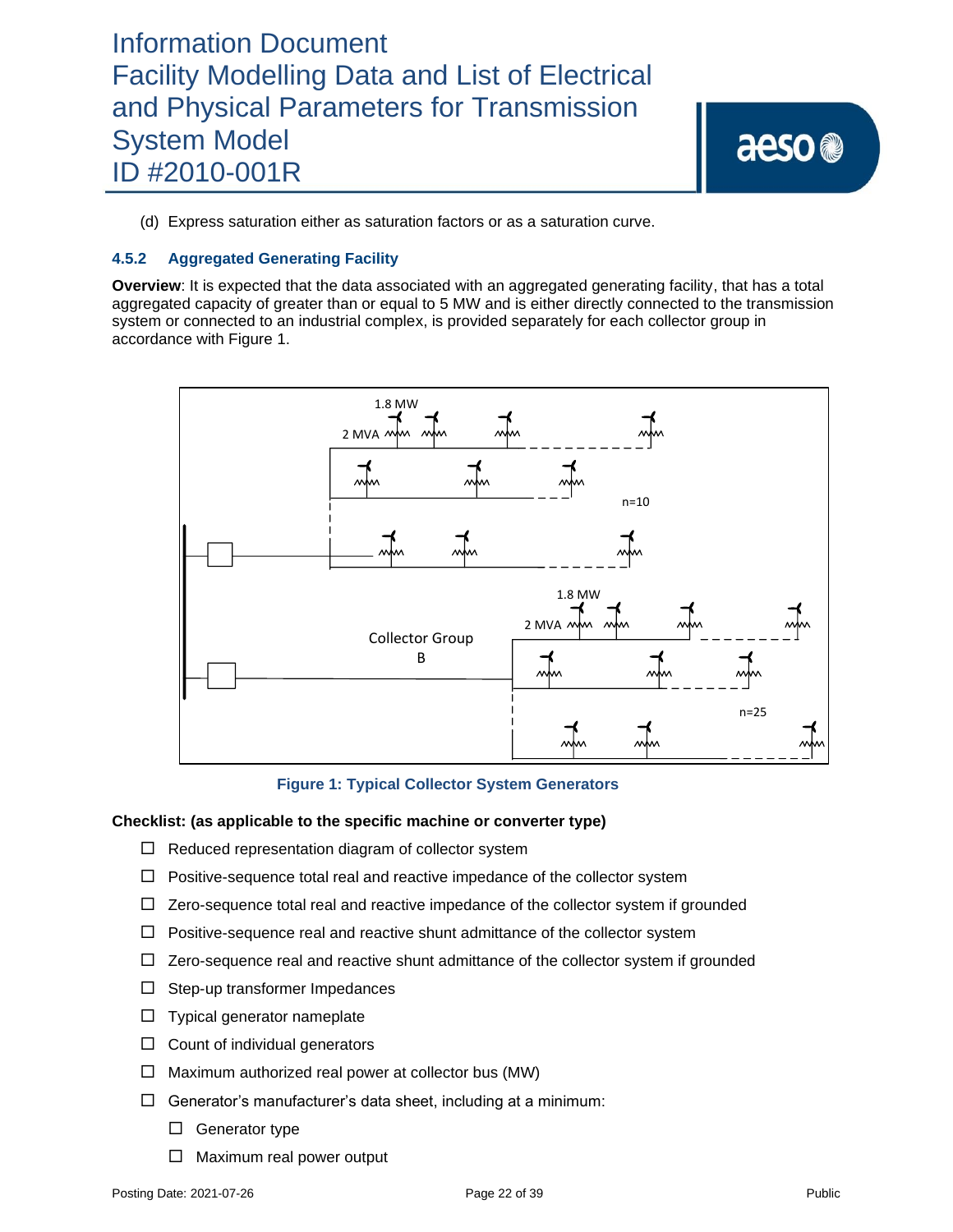aeso<sup>®</sup>

(d) Express saturation either as saturation factors or as a saturation curve.

### **4.5.2 Aggregated Generating Facility**

**Overview**: It is expected that the data associated with an aggregated generating facility, that has a total aggregated capacity of greater than or equal to 5 MW and is either directly connected to the transmission system or connected to an industrial complex, is provided separately for each collector group in accordance with Figure 1.



### **Figure 1: Typical Collector System Generators**

#### **Checklist: (as applicable to the specific machine or converter type)**

- $\Box$  Reduced representation diagram of collector system
- $\Box$  Positive-sequence total real and reactive impedance of the collector system
- $\Box$  Zero-sequence total real and reactive impedance of the collector system if grounded
- $\Box$  Positive-sequence real and reactive shunt admittance of the collector system
- $\Box$  Zero-sequence real and reactive shunt admittance of the collector system if grounded
- $\Box$  Step-up transformer Impedances
- $\Box$  Typical generator nameplate
- $\Box$  Count of individual generators
- $\Box$  Maximum authorized real power at collector bus (MW)
- $\Box$  Generator's manufacturer's data sheet, including at a minimum:
	- $\Box$  Generator type
	- $\Box$  Maximum real power output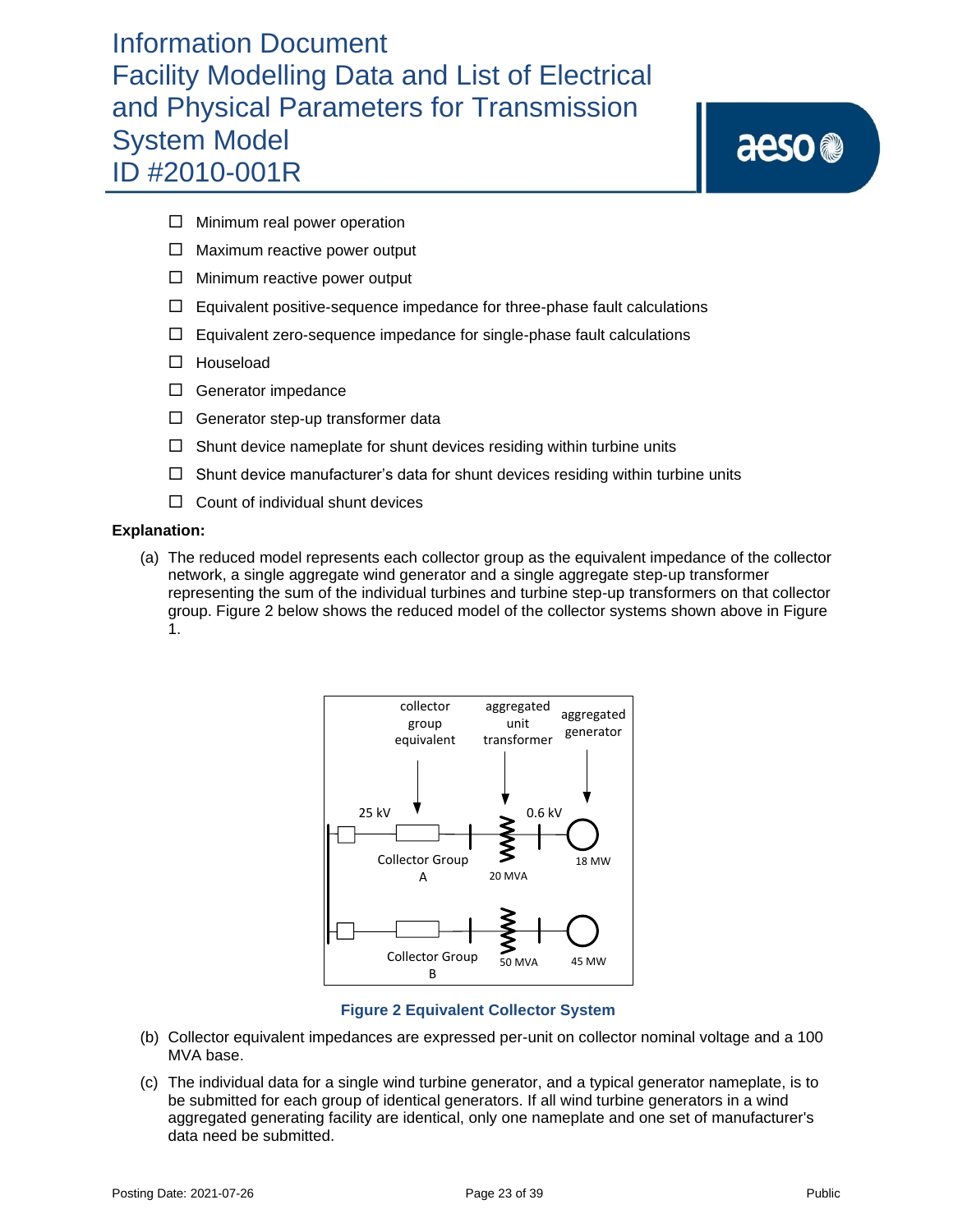aeso<sup>®</sup>

- $\Box$  Minimum real power operation
- $\Box$  Maximum reactive power output
- $\Box$  Minimum reactive power output
- $\Box$  Equivalent positive-sequence impedance for three-phase fault calculations
- $\Box$  Equivalent zero-sequence impedance for single-phase fault calculations
- □ Houseload
- $\Box$  Generator impedance
- $\Box$  Generator step-up transformer data
- $\Box$  Shunt device nameplate for shunt devices residing within turbine units
- $\Box$  Shunt device manufacturer's data for shunt devices residing within turbine units
- $\Box$  Count of individual shunt devices

### **Explanation:**

(a) The reduced model represents each collector group as the equivalent impedance of the collector network, a single aggregate wind generator and a single aggregate step-up transformer representing the sum of the individual turbines and turbine step-up transformers on that collector group. Figure 2 below shows the reduced model of the collector systems shown above in Figure 1.



### **Figure 2 Equivalent Collector System**

- (b) Collector equivalent impedances are expressed per-unit on collector nominal voltage and a 100 MVA base.
- (c) The individual data for a single wind turbine generator, and a typical generator nameplate, is to be submitted for each group of identical generators. If all wind turbine generators in a wind aggregated generating facility are identical, only one nameplate and one set of manufacturer's data need be submitted.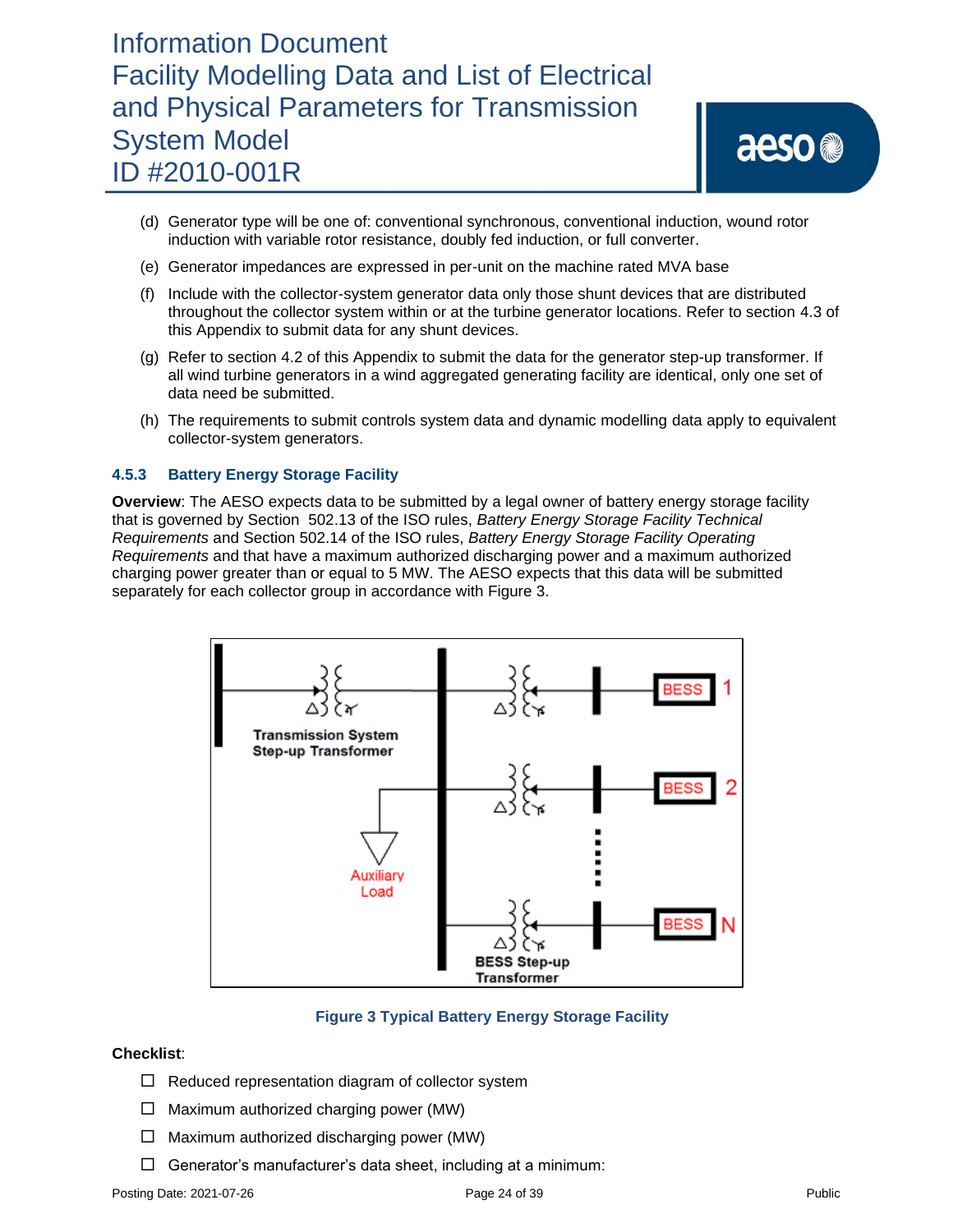- (d) Generator type will be one of: conventional synchronous, conventional induction, wound rotor induction with variable rotor resistance, doubly fed induction, or full converter.
- (e) Generator impedances are expressed in per-unit on the machine rated MVA base
- (f) Include with the collector-system generator data only those shunt devices that are distributed throughout the collector system within or at the turbine generator locations. Refer to section 4.3 of this Appendix to submit data for any shunt devices.
- (g) Refer to section 4.2 of this Appendix to submit the data for the generator step-up transformer. If all wind turbine generators in a wind aggregated generating facility are identical, only one set of data need be submitted.
- (h) The requirements to submit controls system data and dynamic modelling data apply to equivalent collector-system generators.

### **4.5.3 Battery Energy Storage Facility**

**Overview**: The AESO expects data to be submitted by a legal owner of battery energy storage facility that is governed by Section 502.13 of the ISO rules, *Battery Energy Storage Facility Technical Requirements* and Section 502.14 of the ISO rules, *Battery Energy Storage Facility Operating Requirements* and that have a maximum authorized discharging power and a maximum authorized charging power greater than or equal to 5 MW. The AESO expects that this data will be submitted separately for each collector group in accordance with Figure 3.



### **Figure 3 Typical Battery Energy Storage Facility**

### **Checklist**:

- $\Box$  Reduced representation diagram of collector system
- $\Box$  Maximum authorized charging power (MW)
- $\Box$  Maximum authorized discharging power (MW)
- $\Box$  Generator's manufacturer's data sheet, including at a minimum: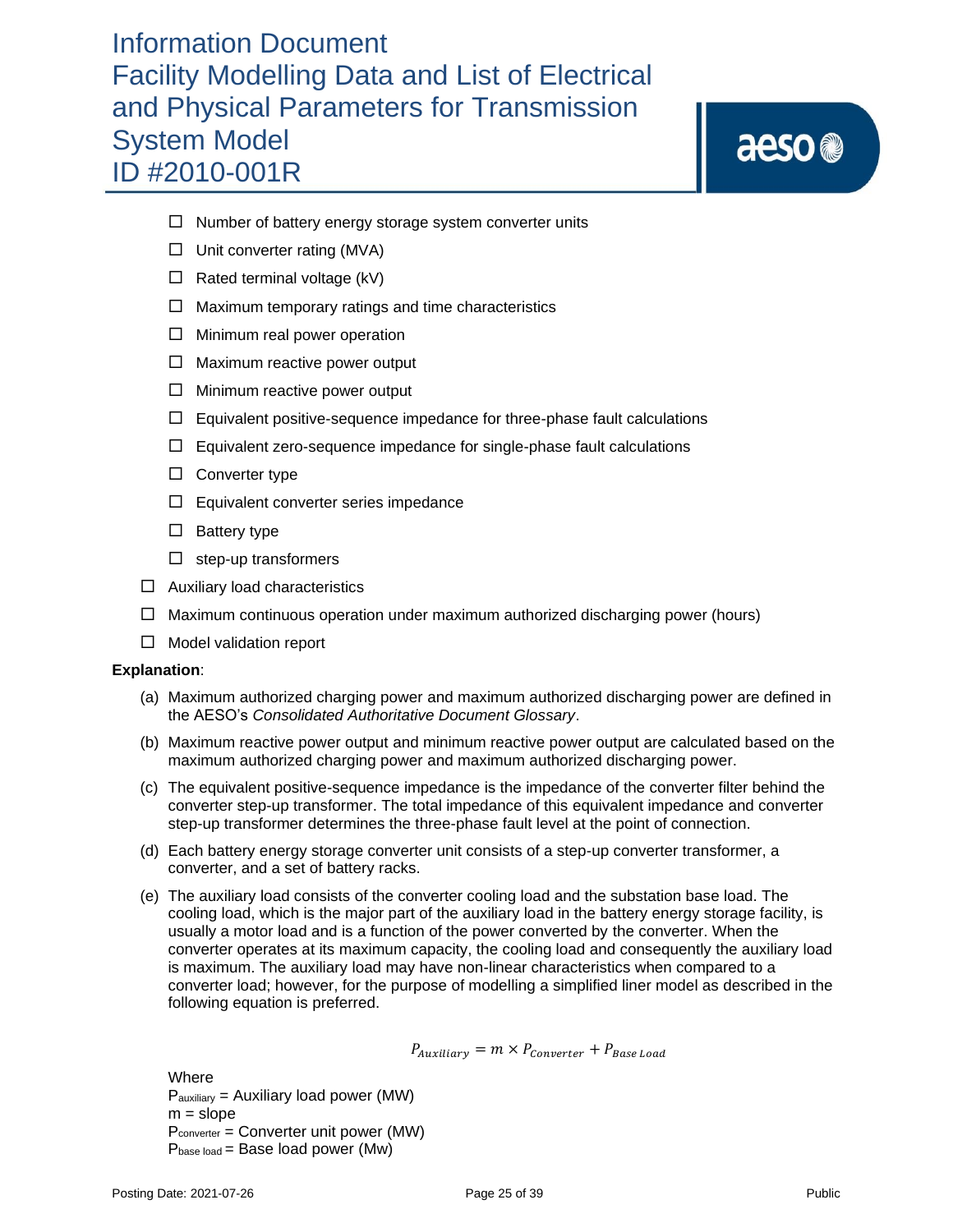aeso<sup>®</sup>

- $\Box$  Number of battery energy storage system converter units
- $\Box$  Unit converter rating (MVA)
- $\Box$  Rated terminal voltage (kV)
- $\Box$  Maximum temporary ratings and time characteristics
- $\Box$  Minimum real power operation
- $\Box$  Maximum reactive power output
- $\Box$  Minimum reactive power output
- $\Box$  Equivalent positive-sequence impedance for three-phase fault calculations
- $\Box$  Equivalent zero-sequence impedance for single-phase fault calculations
- $\square$  Converter type
- $\Box$  Equivalent converter series impedance
- $\square$  Battery type
- $\Box$  step-up transformers
- $\Box$  Auxiliary load characteristics
- $\Box$  Maximum continuous operation under maximum authorized discharging power (hours)
- $\Box$  Model validation report

### **Explanation**:

- (a) Maximum authorized charging power and maximum authorized discharging power are defined in the AESO's *Consolidated Authoritative Document Glossary*.
- (b) Maximum reactive power output and minimum reactive power output are calculated based on the maximum authorized charging power and maximum authorized discharging power.
- (c) The equivalent positive-sequence impedance is the impedance of the converter filter behind the converter step-up transformer. The total impedance of this equivalent impedance and converter step-up transformer determines the three-phase fault level at the point of connection.
- (d) Each battery energy storage converter unit consists of a step-up converter transformer, a converter, and a set of battery racks.
- (e) The auxiliary load consists of the converter cooling load and the substation base load. The cooling load, which is the major part of the auxiliary load in the battery energy storage facility, is usually a motor load and is a function of the power converted by the converter. When the converter operates at its maximum capacity, the cooling load and consequently the auxiliary load is maximum. The auxiliary load may have non-linear characteristics when compared to a converter load; however, for the purpose of modelling a simplified liner model as described in the following equation is preferred.

$$
P_{\text{Auxiliary}} = m \times P_{\text{Converter}} + P_{\text{Base Load}}
$$

**Where**  $P_{\text{auxiliary}} =$  Auxiliary load power (MW)  $m = slope$ Pconverter = Converter unit power (MW)  $P_{base load} = Base load power (Mw)$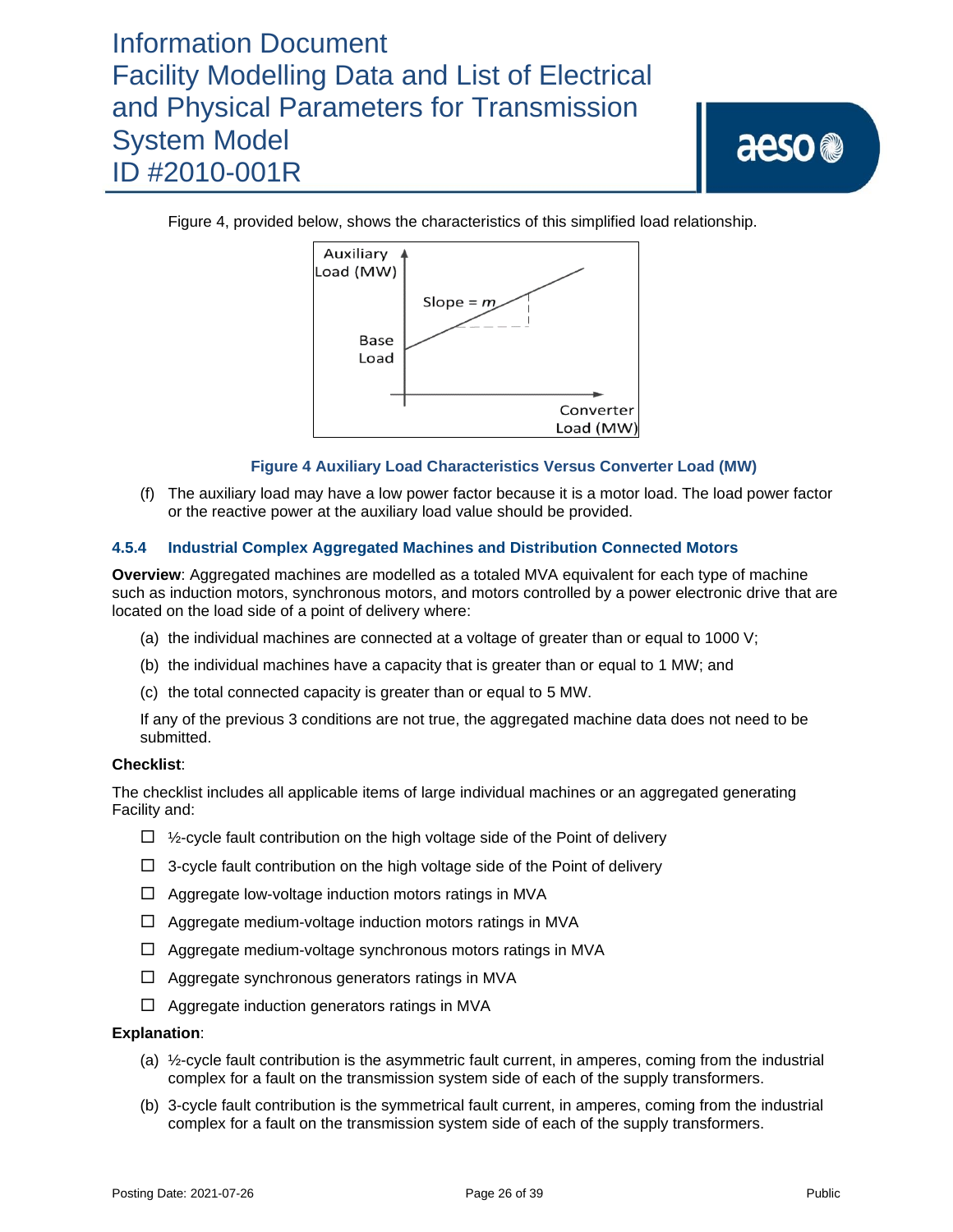aeso<sup>®</sup>

Figure 4, provided below, shows the characteristics of this simplified load relationship.



### **Figure 4 Auxiliary Load Characteristics Versus Converter Load (MW)**

(f) The auxiliary load may have a low power factor because it is a motor load. The load power factor or the reactive power at the auxiliary load value should be provided.

### **4.5.4 Industrial Complex Aggregated Machines and Distribution Connected Motors**

**Overview**: Aggregated machines are modelled as a totaled MVA equivalent for each type of machine such as induction motors, synchronous motors, and motors controlled by a power electronic drive that are located on the load side of a point of delivery where:

- (a) the individual machines are connected at a voltage of greater than or equal to 1000 V;
- (b) the individual machines have a capacity that is greater than or equal to 1 MW; and
- (c) the total connected capacity is greater than or equal to 5 MW.

If any of the previous 3 conditions are not true, the aggregated machine data does not need to be submitted.

### **Checklist**:

The checklist includes all applicable items of large individual machines or an aggregated generating Facility and:

- $\Box$  1/<sub>2</sub>-cycle fault contribution on the high voltage side of the Point of delivery
- $\Box$  3-cycle fault contribution on the high voltage side of the Point of delivery
- $\Box$  Aggregate low-voltage induction motors ratings in MVA
- $\Box$  Aggregate medium-voltage induction motors ratings in MVA
- $\Box$  Aggregate medium-voltage synchronous motors ratings in MVA
- $\Box$  Aggregate synchronous generators ratings in MVA
- $\Box$  Aggregate induction generators ratings in MVA

- (a) ½-cycle fault contribution is the asymmetric fault current, in amperes, coming from the industrial complex for a fault on the transmission system side of each of the supply transformers.
- (b) 3-cycle fault contribution is the symmetrical fault current, in amperes, coming from the industrial complex for a fault on the transmission system side of each of the supply transformers.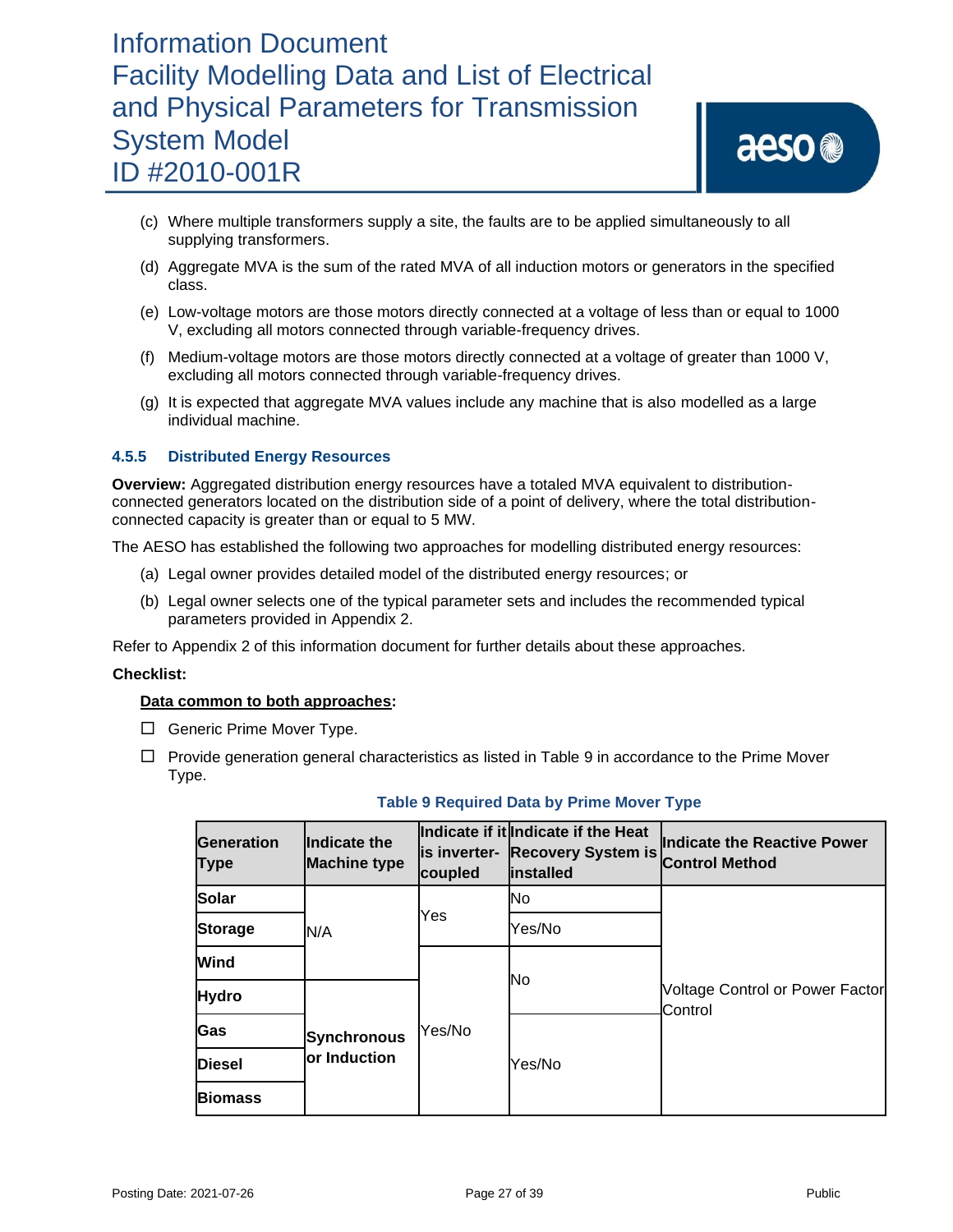- (c) Where multiple transformers supply a site, the faults are to be applied simultaneously to all supplying transformers.
- (d) Aggregate MVA is the sum of the rated MVA of all induction motors or generators in the specified class.
- (e) Low-voltage motors are those motors directly connected at a voltage of less than or equal to 1000 V, excluding all motors connected through variable-frequency drives.
- (f) Medium-voltage motors are those motors directly connected at a voltage of greater than 1000 V, excluding all motors connected through variable-frequency drives.
- (g) It is expected that aggregate MVA values include any machine that is also modelled as a large individual machine.

### **4.5.5 Distributed Energy Resources**

**Overview:** Aggregated distribution energy resources have a totaled MVA equivalent to distributionconnected generators located on the distribution side of a point of delivery, where the total distributionconnected capacity is greater than or equal to 5 MW.

The AESO has established the following two approaches for modelling distributed energy resources:

- (a) Legal owner provides detailed model of the distributed energy resources; or
- (b) Legal owner selects one of the typical parameter sets and includes the recommended typical parameters provided in Appendix 2.

Refer to Appendix 2 of this information document for further details about these approaches.

#### **Checklist:**

### **Data common to both approaches:**

- $\Box$  Generic Prime Mover Type.
- $\Box$  Provide generation general characteristics as listed in Table 9 in accordance to the Prime Mover Type.

| <b>Generation</b><br>Type | Indicate the<br><b>Machine type</b>        | coupled | Indicate if it Indicate if the Heat<br>is inverter- Recovery System is<br><b>linstalled</b> | Indicate the Reactive Power<br><b>Control Method</b> |  |
|---------------------------|--------------------------------------------|---------|---------------------------------------------------------------------------------------------|------------------------------------------------------|--|
| Solar                     |                                            | Yes     | <b>No</b>                                                                                   |                                                      |  |
| <b>Storage</b>            | N/A                                        |         | Yes/No                                                                                      |                                                      |  |
| Wind                      |                                            | Yes/No  | No                                                                                          |                                                      |  |
| <b>Hydro</b>              |                                            |         |                                                                                             | Voltage Control or Power Factor<br>Control           |  |
| <b>Gas</b>                | <b>Synchronous</b><br><b>lor Induction</b> |         | Yes/No                                                                                      |                                                      |  |
| <b>Diesel</b>             |                                            |         |                                                                                             |                                                      |  |
| <b>Biomass</b>            |                                            |         |                                                                                             |                                                      |  |

### **Table 9 Required Data by Prime Mover Type**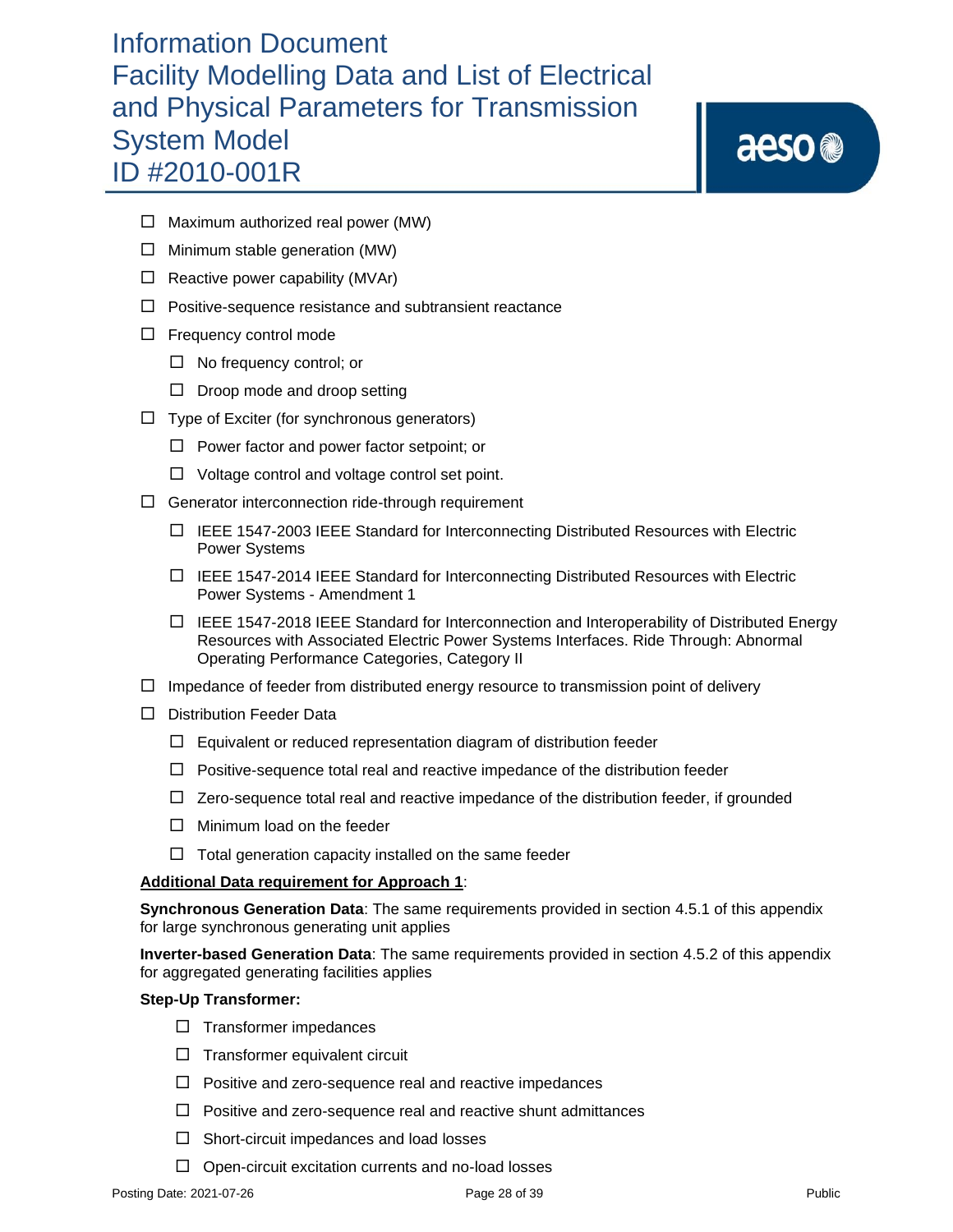aeso<sup>®</sup>

- $\Box$  Maximum authorized real power (MW)
- $\Box$  Minimum stable generation (MW)
- $\Box$  Reactive power capability (MVAr)
- $\Box$  Positive-sequence resistance and subtransient reactance
- $\Box$  Frequency control mode
	- $\Box$  No frequency control; or
	- $\square$  Droop mode and droop setting
- $\Box$  Type of Exciter (for synchronous generators)
	- $\Box$  Power factor and power factor setpoint; or
	- $\Box$  Voltage control and voltage control set point.
- $\Box$  Generator interconnection ride-through requirement
	- $\Box$  IEEE 1547-2003 IEEE Standard for Interconnecting Distributed Resources with Electric Power Systems
	- $\Box$  IEEE 1547-2014 IEEE Standard for Interconnecting Distributed Resources with Electric Power Systems - Amendment 1
	- $\Box$  IEEE 1547-2018 IEEE Standard for Interconnection and Interoperability of Distributed Energy Resources with Associated Electric Power Systems Interfaces. Ride Through: Abnormal Operating Performance Categories, Category II
- $\Box$  Impedance of feeder from distributed energy resource to transmission point of delivery
- D Distribution Feeder Data
	- $\Box$  Equivalent or reduced representation diagram of distribution feeder
	- $\Box$  Positive-sequence total real and reactive impedance of the distribution feeder
	- $\Box$  Zero-sequence total real and reactive impedance of the distribution feeder, if grounded
	- $\Box$  Minimum load on the feeder
	- $\Box$  Total generation capacity installed on the same feeder

### **Additional Data requirement for Approach 1**:

**Synchronous Generation Data**: The same requirements provided in section 4.5.1 of this appendix for large synchronous generating unit applies

**Inverter-based Generation Data**: The same requirements provided in section 4.5.2 of this appendix for aggregated generating facilities applies

### **Step-Up Transformer:**

- $\Box$  Transformer impedances
- $\Box$  Transformer equivalent circuit
- $\Box$  Positive and zero-sequence real and reactive impedances
- $\Box$  Positive and zero-sequence real and reactive shunt admittances
- $\Box$  Short-circuit impedances and load losses
- $\Box$  Open-circuit excitation currents and no-load losses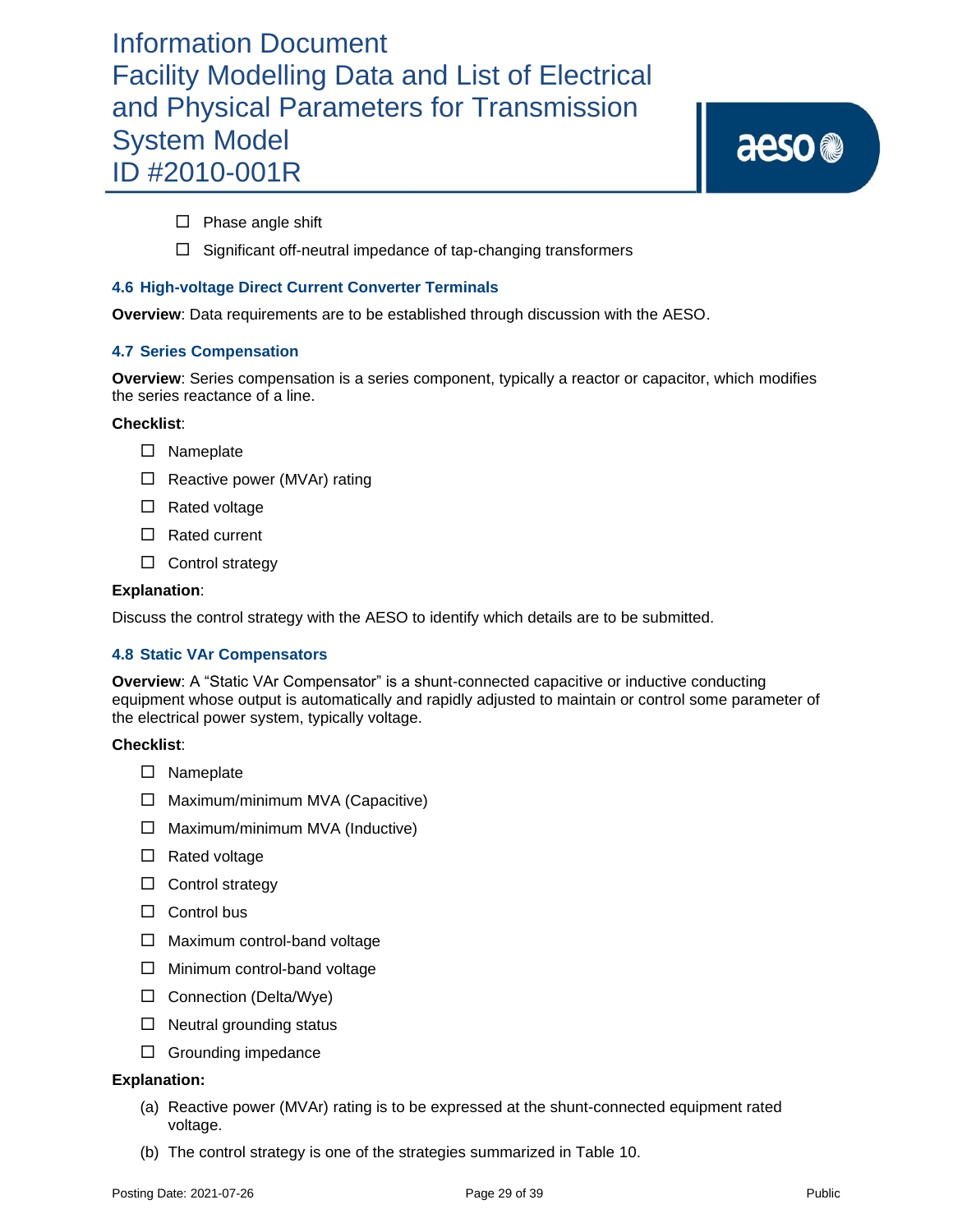aeso<sup>®</sup>

 $\square$  Phase angle shift

 $\Box$  Significant off-neutral impedance of tap-changing transformers

### **4.6 High-voltage Direct Current Converter Terminals**

**Overview**: Data requirements are to be established through discussion with the AESO.

### **4.7 Series Compensation**

**Overview**: Series compensation is a series component, typically a reactor or capacitor, which modifies the series reactance of a line.

### **Checklist**:

- □ Nameplate
- $\Box$  Reactive power (MVAr) rating
- $\square$  Rated voltage
- □ Rated current
- $\square$  Control strategy

### **Explanation**:

Discuss the control strategy with the AESO to identify which details are to be submitted.

### **4.8 Static VAr Compensators**

**Overview**: A "Static VAr Compensator" is a shunt-connected capacitive or inductive conducting equipment whose output is automatically and rapidly adjusted to maintain or control some parameter of the electrical power system, typically voltage.

### **Checklist**:

- □ Nameplate
- $\Box$  Maximum/minimum MVA (Capacitive)
- $\Box$  Maximum/minimum MVA (Inductive)
- $\Box$  Rated voltage
- $\Box$  Control strategy
- $\Box$  Control bus
- $\Box$  Maximum control-band voltage
- $\Box$  Minimum control-band voltage
- $\Box$  Connection (Delta/Wye)
- $\Box$  Neutral grounding status
- $\Box$  Grounding impedance

- (a) Reactive power (MVAr) rating is to be expressed at the shunt-connected equipment rated voltage.
- (b) The control strategy is one of the strategies summarized in Table 10.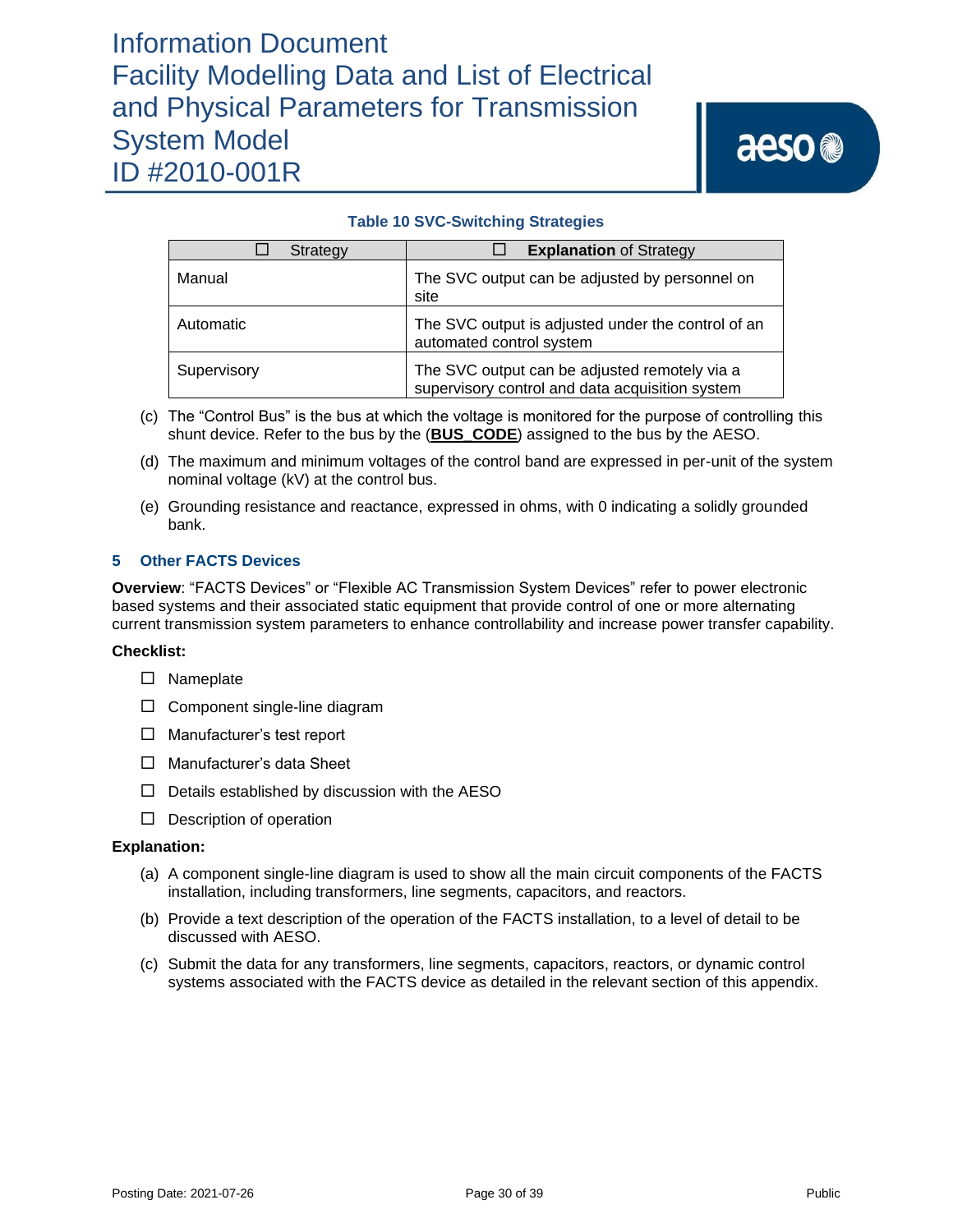### **Table 10 SVC-Switching Strategies**

| Strategy    | <b>Explanation of Strategy</b>                                                                   |
|-------------|--------------------------------------------------------------------------------------------------|
| Manual      | The SVC output can be adjusted by personnel on<br>site                                           |
| Automatic   | The SVC output is adjusted under the control of an<br>automated control system                   |
| Supervisory | The SVC output can be adjusted remotely via a<br>supervisory control and data acquisition system |

- (c) The "Control Bus" is the bus at which the voltage is monitored for the purpose of controlling this shunt device. Refer to the bus by the (**BUS\_CODE**) assigned to the bus by the AESO.
- (d) The maximum and minimum voltages of the control band are expressed in per-unit of the system nominal voltage (kV) at the control bus.
- (e) Grounding resistance and reactance, expressed in ohms, with 0 indicating a solidly grounded bank.

### **5 Other FACTS Devices**

**Overview**: "FACTS Devices" or "Flexible AC Transmission System Devices" refer to power electronic based systems and their associated static equipment that provide control of one or more alternating current transmission system parameters to enhance controllability and increase power transfer capability.

### **Checklist:**

- □ Nameplate
- $\square$  Component single-line diagram
- □ Manufacturer's test report
- □ Manufacturer's data Sheet
- $\Box$  Details established by discussion with the AESO
- $\square$  Description of operation

- (a) A component single-line diagram is used to show all the main circuit components of the FACTS installation, including transformers, line segments, capacitors, and reactors.
- (b) Provide a text description of the operation of the FACTS installation, to a level of detail to be discussed with AESO.
- (c) Submit the data for any transformers, line segments, capacitors, reactors, or dynamic control systems associated with the FACTS device as detailed in the relevant section of this appendix.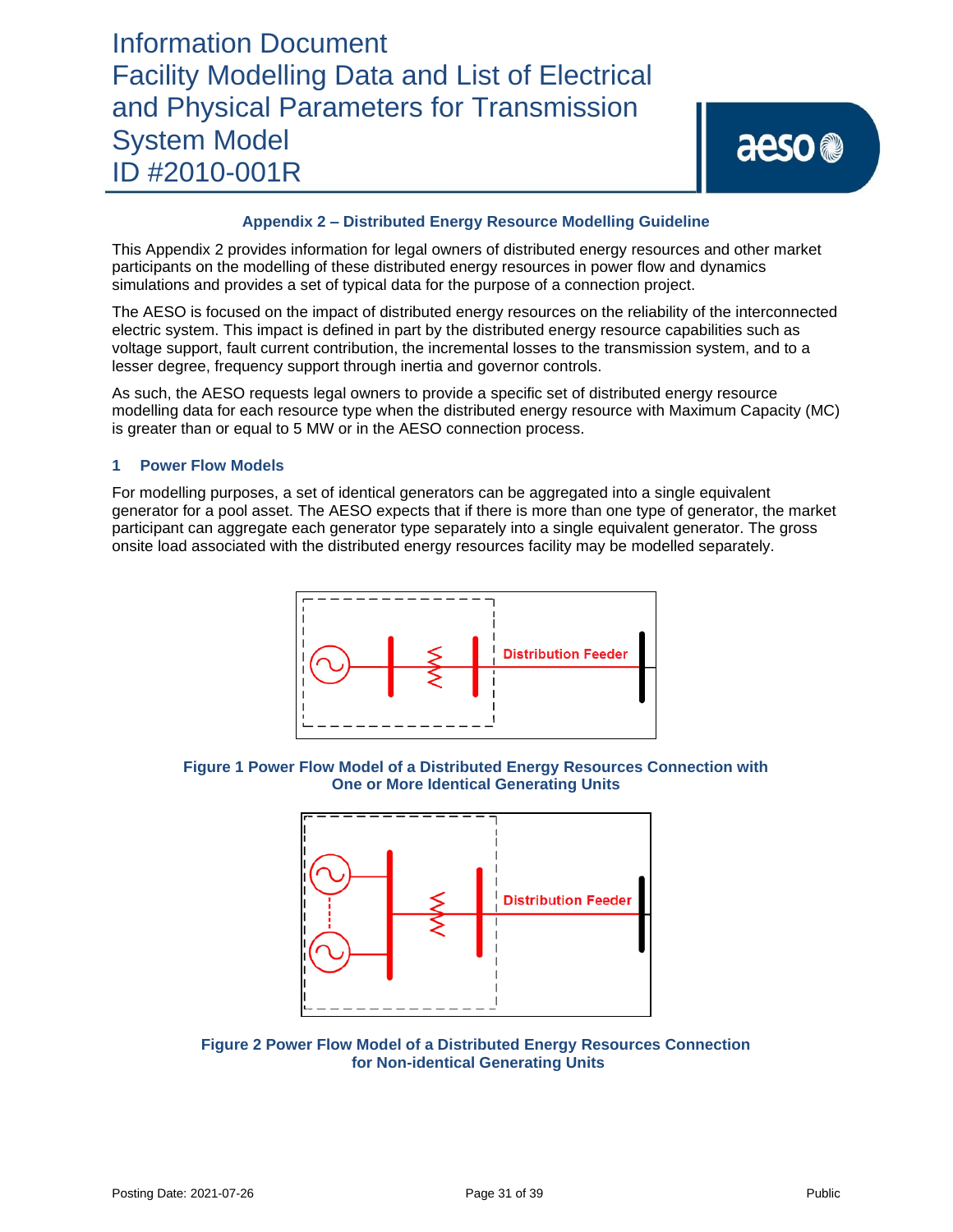### **Appendix 2 – Distributed Energy Resource Modelling Guideline**

This Appendix 2 provides information for legal owners of distributed energy resources and other market participants on the modelling of these distributed energy resources in power flow and dynamics simulations and provides a set of typical data for the purpose of a connection project.

The AESO is focused on the impact of distributed energy resources on the reliability of the interconnected electric system. This impact is defined in part by the distributed energy resource capabilities such as voltage support, fault current contribution, the incremental losses to the transmission system, and to a lesser degree, frequency support through inertia and governor controls.

As such, the AESO requests legal owners to provide a specific set of distributed energy resource modelling data for each resource type when the distributed energy resource with Maximum Capacity (MC) is greater than or equal to 5 MW or in the AESO connection process.

### **1 Power Flow Models**

For modelling purposes, a set of identical generators can be aggregated into a single equivalent generator for a pool asset. The AESO expects that if there is more than one type of generator, the market participant can aggregate each generator type separately into a single equivalent generator. The gross onsite load associated with the distributed energy resources facility may be modelled separately.



**Figure 1 Power Flow Model of a Distributed Energy Resources Connection with One or More Identical Generating Units**



**Figure 2 Power Flow Model of a Distributed Energy Resources Connection for Non-identical Generating Units**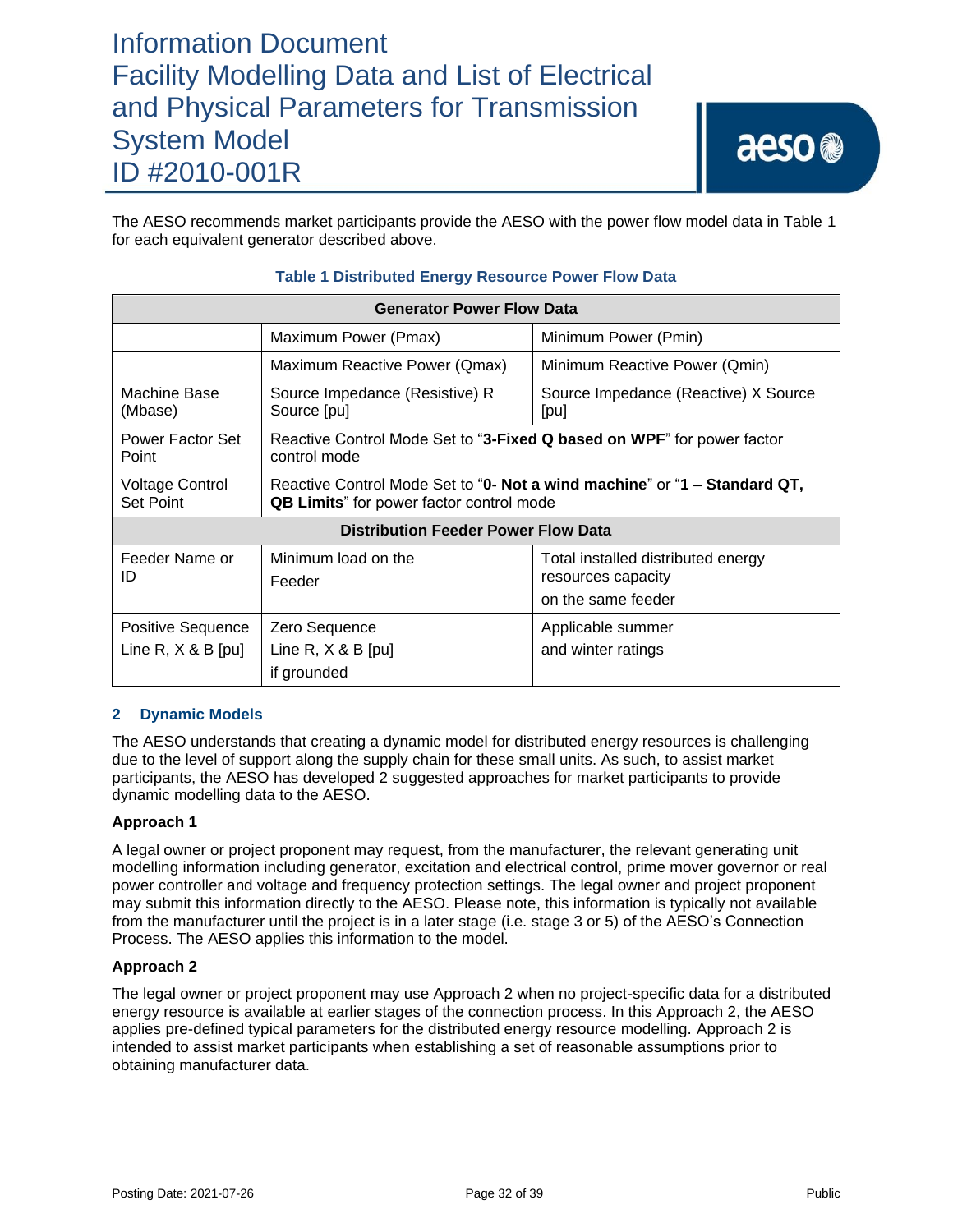The AESO recommends market participants provide the AESO with the power flow model data in Table 1 for each equivalent generator described above.

| <b>Generator Power Flow Data</b>           |                                                                                                                               |                                                                                |  |  |  |
|--------------------------------------------|-------------------------------------------------------------------------------------------------------------------------------|--------------------------------------------------------------------------------|--|--|--|
|                                            | Maximum Power (Pmax)<br>Minimum Power (Pmin)                                                                                  |                                                                                |  |  |  |
|                                            | Minimum Reactive Power (Qmin)<br>Maximum Reactive Power (Qmax)                                                                |                                                                                |  |  |  |
| Machine Base<br>(Mbase)                    | Source Impedance (Resistive) R<br>Source Impedance (Reactive) X Source<br>Source [pu]<br>[pu]                                 |                                                                                |  |  |  |
| Power Factor Set<br>Point                  | Reactive Control Mode Set to "3-Fixed Q based on WPF" for power factor<br>control mode                                        |                                                                                |  |  |  |
| <b>Voltage Control</b><br><b>Set Point</b> | Reactive Control Mode Set to "0- Not a wind machine" or "1 - Standard QT,<br><b>QB Limits</b> " for power factor control mode |                                                                                |  |  |  |
|                                            | <b>Distribution Feeder Power Flow Data</b>                                                                                    |                                                                                |  |  |  |
| Feeder Name or<br>ID                       | Minimum load on the<br>Feeder                                                                                                 | Total installed distributed energy<br>resources capacity<br>on the same feeder |  |  |  |
| Positive Sequence<br>Line R, $X \& B$ [pu] | Zero Sequence<br>Line R, $X \& B$ [pu]<br>if grounded                                                                         | Applicable summer<br>and winter ratings                                        |  |  |  |

### **Table 1 Distributed Energy Resource Power Flow Data**

### **2 Dynamic Models**

The AESO understands that creating a dynamic model for distributed energy resources is challenging due to the level of support along the supply chain for these small units. As such, to assist market participants, the AESO has developed 2 suggested approaches for market participants to provide dynamic modelling data to the AESO.

### **Approach 1**

A legal owner or project proponent may request, from the manufacturer, the relevant generating unit modelling information including generator, excitation and electrical control, prime mover governor or real power controller and voltage and frequency protection settings. The legal owner and project proponent may submit this information directly to the AESO. Please note, this information is typically not available from the manufacturer until the project is in a later stage (i.e. stage 3 or 5) of the AESO's Connection Process. The AESO applies this information to the model.

### **Approach 2**

The legal owner or project proponent may use Approach 2 when no project-specific data for a distributed energy resource is available at earlier stages of the connection process. In this Approach 2, the AESO applies pre-defined typical parameters for the distributed energy resource modelling. Approach 2 is intended to assist market participants when establishing a set of reasonable assumptions prior to obtaining manufacturer data.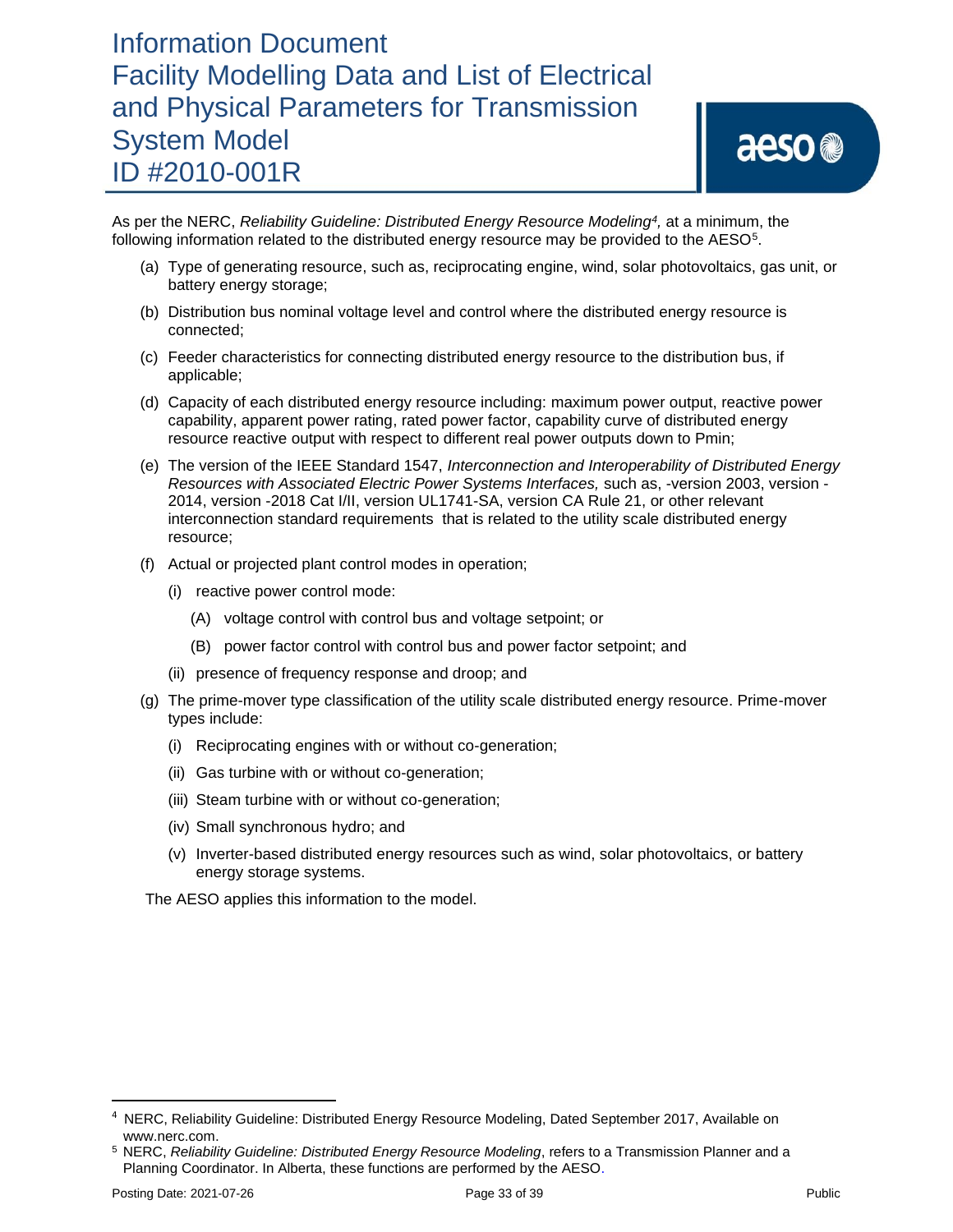# aeso<sup>®</sup>

As per the NERC, *Reliability Guideline: Distributed Energy Resource Modeling<sup>4</sup> ,* at a minimum, the following information related to the distributed energy resource may be provided to the AESO<sup>5</sup>.

- (a) Type of generating resource, such as, reciprocating engine, wind, solar photovoltaics, gas unit, or battery energy storage;
- (b) Distribution bus nominal voltage level and control where the distributed energy resource is connected;
- (c) Feeder characteristics for connecting distributed energy resource to the distribution bus, if applicable;
- (d) Capacity of each distributed energy resource including: maximum power output, reactive power capability, apparent power rating, rated power factor, capability curve of distributed energy resource reactive output with respect to different real power outputs down to Pmin;
- (e) The version of the IEEE Standard 1547, *Interconnection and Interoperability of Distributed Energy Resources with Associated Electric Power Systems Interfaces,* such as, -version 2003, version - 2014, version -2018 Cat I/II, version UL1741-SA, version CA Rule 21, or other relevant interconnection standard requirements that is related to the utility scale distributed energy resource;
- (f) Actual or projected plant control modes in operation;
	- (i) reactive power control mode:
		- (A) voltage control with control bus and voltage setpoint; or
		- (B) power factor control with control bus and power factor setpoint; and
	- (ii) presence of frequency response and droop; and
- (g) The prime-mover type classification of the utility scale distributed energy resource. Prime-mover types include:
	- (i) Reciprocating engines with or without co-generation;
	- (ii) Gas turbine with or without co-generation;
	- (iii) Steam turbine with or without co-generation;
	- (iv) Small synchronous hydro; and
	- (v) Inverter-based distributed energy resources such as wind, solar photovoltaics, or battery energy storage systems.

The AESO applies this information to the model.

<sup>&</sup>lt;sup>4</sup> NERC, Reliability Guideline: Distributed Energy Resource Modeling, Dated September 2017, Available on www.nerc.com.

<sup>5</sup> NERC, *Reliability Guideline: Distributed Energy Resource Modeling*, refers to a Transmission Planner and a Planning Coordinator. In Alberta, these functions are performed by the AESO.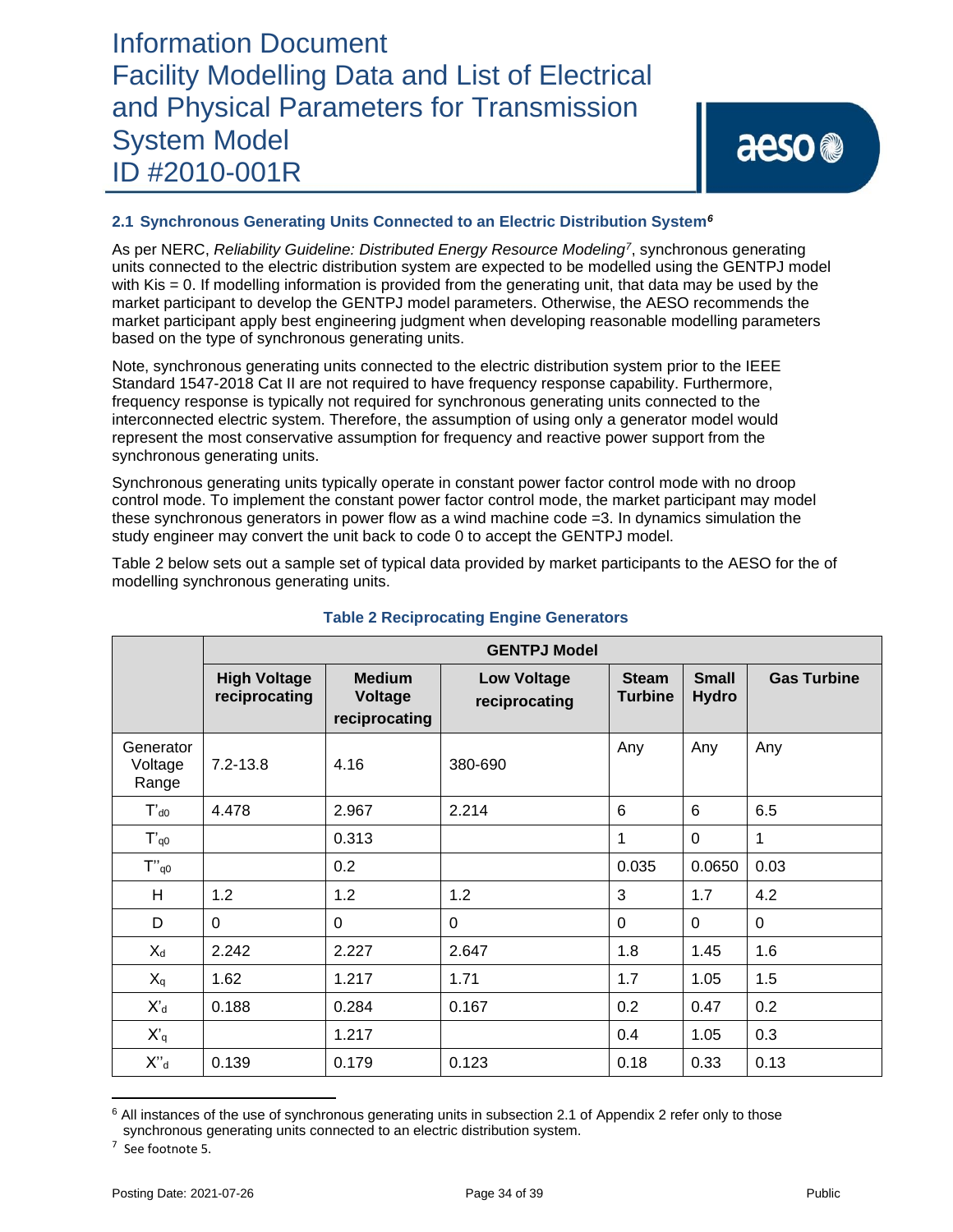### **2.1 Synchronous Generating Units Connected to an Electric Distribution System***<sup>6</sup>*

As per NERC, *Reliability Guideline: Distributed Energy Resource Modeling<sup>7</sup>* , synchronous generating units connected to the electric distribution system are expected to be modelled using the GENTPJ model with Kis = 0. If modelling information is provided from the generating unit, that data may be used by the market participant to develop the GENTPJ model parameters. Otherwise, the AESO recommends the market participant apply best engineering judgment when developing reasonable modelling parameters based on the type of synchronous generating units.

Note, synchronous generating units connected to the electric distribution system prior to the IEEE Standard 1547-2018 Cat II are not required to have frequency response capability. Furthermore, frequency response is typically not required for synchronous generating units connected to the interconnected electric system. Therefore, the assumption of using only a generator model would represent the most conservative assumption for frequency and reactive power support from the synchronous generating units.

Synchronous generating units typically operate in constant power factor control mode with no droop control mode. To implement the constant power factor control mode, the market participant may model these synchronous generators in power flow as a wind machine code =3. In dynamics simulation the study engineer may convert the unit back to code 0 to accept the GENTPJ model.

Table 2 below sets out a sample set of typical data provided by market participants to the AESO for the of modelling synchronous generating units.

|                               | <b>GENTPJ Model</b>                  |                                           |                                     |                                |                              |                    |  |
|-------------------------------|--------------------------------------|-------------------------------------------|-------------------------------------|--------------------------------|------------------------------|--------------------|--|
|                               | <b>High Voltage</b><br>reciprocating | <b>Medium</b><br>Voltage<br>reciprocating | <b>Low Voltage</b><br>reciprocating | <b>Steam</b><br><b>Turbine</b> | <b>Small</b><br><b>Hydro</b> | <b>Gas Turbine</b> |  |
| Generator<br>Voltage<br>Range | $7.2 - 13.8$                         | 4.16                                      | 380-690                             | Any                            | Any                          | Any                |  |
| $T'$ <sub>d</sub> $0$         | 4.478                                | 2.967                                     | 2.214                               | 6                              | 6                            | 6.5                |  |
| $T'_{q0}$                     |                                      | 0.313                                     |                                     | 1                              | $\Omega$                     | 1                  |  |
| $T''_{q0}$                    |                                      | 0.2                                       |                                     | 0.035                          | 0.0650                       | 0.03               |  |
| H                             | 1.2                                  | 1.2                                       | 1.2                                 | 3                              | 1.7                          | 4.2                |  |
| D                             | $\Omega$                             | $\Omega$                                  | $\Omega$                            | $\Omega$                       | $\Omega$                     | $\overline{0}$     |  |
| $X_d$                         | 2.242                                | 2.227                                     | 2.647                               | 1.8                            | 1.45                         | 1.6                |  |
| $X_q$                         | 1.62                                 | 1.217                                     | 1.71                                | 1.7                            | 1.05                         | 1.5                |  |
| $X_d$                         | 0.188                                | 0.284                                     | 0.167                               | 0.2                            | 0.47                         | 0.2                |  |
| $X'_q$                        |                                      | 1.217                                     |                                     | 0.4                            | 1.05                         | 0.3                |  |
| $X^{"d}$                      | 0.139                                | 0.179                                     | 0.123                               | 0.18                           | 0.33                         | 0.13               |  |

### **Table 2 Reciprocating Engine Generators**

 $7$  See footnote 5.

<sup>&</sup>lt;sup>6</sup> All instances of the use of synchronous generating units in subsection 2.1 of Appendix 2 refer only to those synchronous generating units connected to an electric distribution system.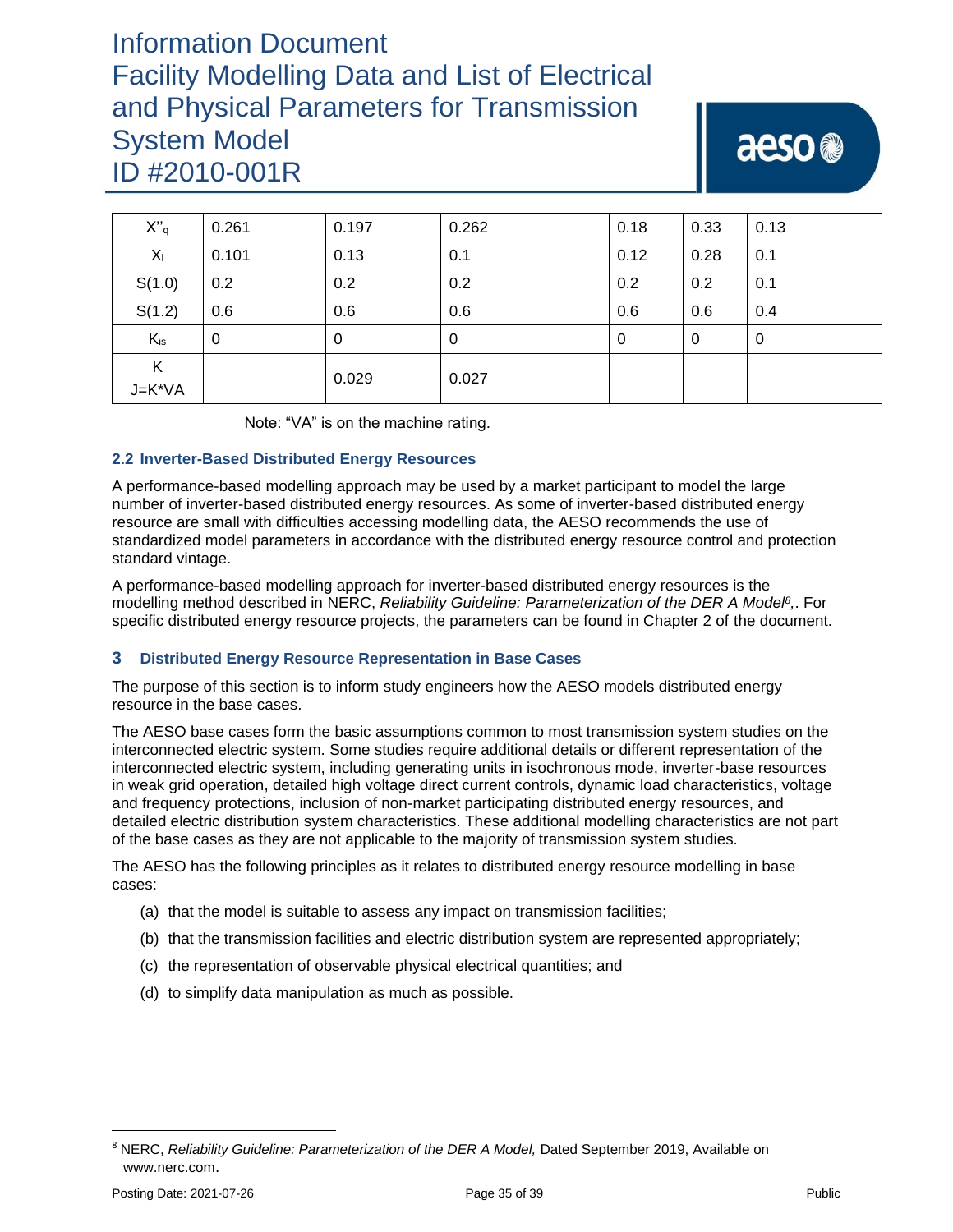| $X''_q$     | 0.261 | 0.197 | 0.262 | 0.18 | 0.33 | 0.13 |
|-------------|-------|-------|-------|------|------|------|
| $X_{I}$     | 0.101 | 0.13  | 0.1   | 0.12 | 0.28 | 0.1  |
| S(1.0)      | 0.2   | 0.2   | 0.2   | 0.2  | 0.2  | 0.1  |
| S(1.2)      | 0.6   | 0.6   | 0.6   | 0.6  | 0.6  | 0.4  |
| $K_{is}$    | 0     | 0     | 0     | 0    | 0    | 0    |
| Κ<br>J=K*VA |       | 0.029 | 0.027 |      |      |      |

Note: "VA" is on the machine rating.

### **2.2 Inverter-Based Distributed Energy Resources**

A performance-based modelling approach may be used by a market participant to model the large number of inverter-based distributed energy resources. As some of inverter-based distributed energy resource are small with difficulties accessing modelling data, the AESO recommends the use of standardized model parameters in accordance with the distributed energy resource control and protection standard vintage.

A performance-based modelling approach for inverter-based distributed energy resources is the modelling method described in NERC, *Reliability Guideline: Parameterization of the DER A Model<sup>8</sup> ,*. For specific distributed energy resource projects, the parameters can be found in Chapter 2 of the document.

### **3 Distributed Energy Resource Representation in Base Cases**

The purpose of this section is to inform study engineers how the AESO models distributed energy resource in the base cases.

The AESO base cases form the basic assumptions common to most transmission system studies on the interconnected electric system. Some studies require additional details or different representation of the interconnected electric system, including generating units in isochronous mode, inverter-base resources in weak grid operation, detailed high voltage direct current controls, dynamic load characteristics, voltage and frequency protections, inclusion of non-market participating distributed energy resources, and detailed electric distribution system characteristics. These additional modelling characteristics are not part of the base cases as they are not applicable to the majority of transmission system studies.

The AESO has the following principles as it relates to distributed energy resource modelling in base cases:

- (a) that the model is suitable to assess any impact on transmission facilities;
- (b) that the transmission facilities and electric distribution system are represented appropriately;
- (c) the representation of observable physical electrical quantities; and
- (d) to simplify data manipulation as much as possible.

<sup>8</sup> NERC, *Reliability Guideline: Parameterization of the DER A Model,* Dated September 2019, Available on www.nerc.com.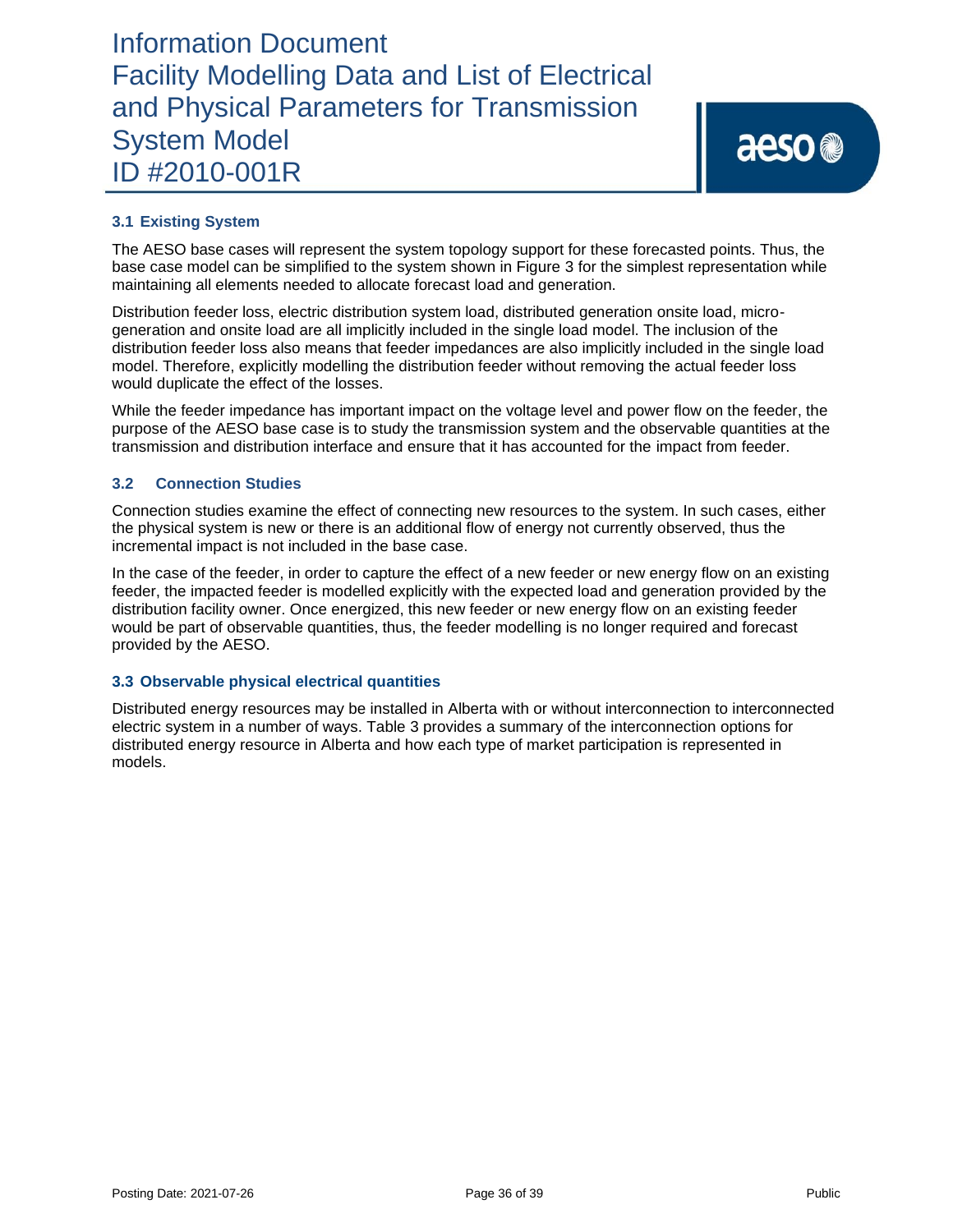### **3.1 Existing System**

The AESO base cases will represent the system topology support for these forecasted points. Thus, the base case model can be simplified to the system shown in Figure 3 for the simplest representation while maintaining all elements needed to allocate forecast load and generation.

Distribution feeder loss, electric distribution system load, distributed generation onsite load, microgeneration and onsite load are all implicitly included in the single load model. The inclusion of the distribution feeder loss also means that feeder impedances are also implicitly included in the single load model. Therefore, explicitly modelling the distribution feeder without removing the actual feeder loss would duplicate the effect of the losses.

While the feeder impedance has important impact on the voltage level and power flow on the feeder, the purpose of the AESO base case is to study the transmission system and the observable quantities at the transmission and distribution interface and ensure that it has accounted for the impact from feeder.

### **3.2 Connection Studies**

Connection studies examine the effect of connecting new resources to the system. In such cases, either the physical system is new or there is an additional flow of energy not currently observed, thus the incremental impact is not included in the base case.

In the case of the feeder, in order to capture the effect of a new feeder or new energy flow on an existing feeder, the impacted feeder is modelled explicitly with the expected load and generation provided by the distribution facility owner. Once energized, this new feeder or new energy flow on an existing feeder would be part of observable quantities, thus, the feeder modelling is no longer required and forecast provided by the AESO.

### **3.3 Observable physical electrical quantities**

Distributed energy resources may be installed in Alberta with or without interconnection to interconnected electric system in a number of ways. Table 3 provides a summary of the interconnection options for distributed energy resource in Alberta and how each type of market participation is represented in models.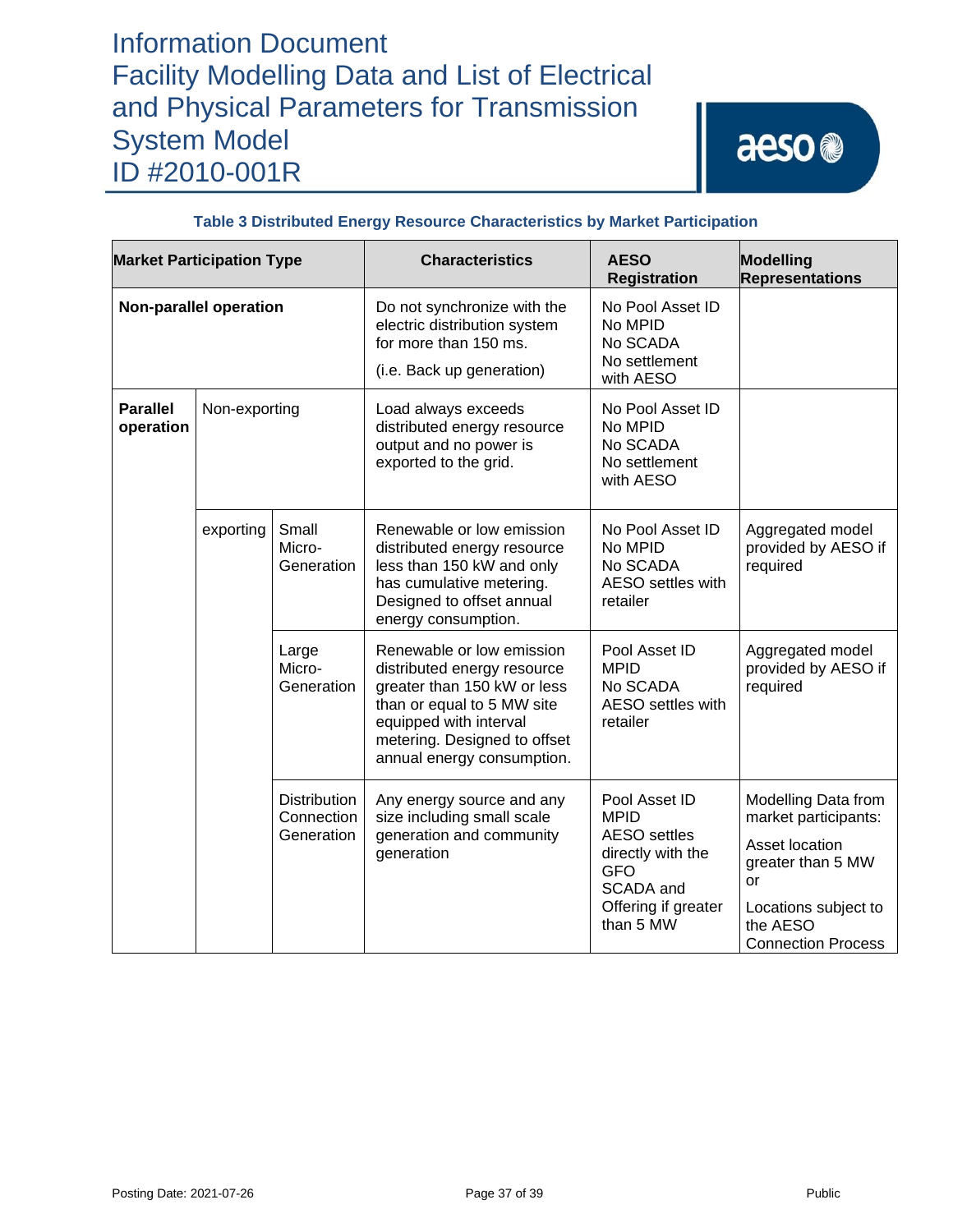# aeso<sup>®</sup>

| <b>Market Participation Type</b> |               |                                                 | <b>Characteristics</b>                                                                                                                                                                                        | <b>AESO</b><br><b>Registration</b>                                                                                                      | Modelling<br><b>Representations</b>                                                                                                                       |
|----------------------------------|---------------|-------------------------------------------------|---------------------------------------------------------------------------------------------------------------------------------------------------------------------------------------------------------------|-----------------------------------------------------------------------------------------------------------------------------------------|-----------------------------------------------------------------------------------------------------------------------------------------------------------|
| <b>Non-parallel operation</b>    |               |                                                 | Do not synchronize with the<br>electric distribution system<br>for more than 150 ms.<br>(i.e. Back up generation)                                                                                             | No Pool Asset ID<br>No MPID<br>No SCADA<br>No settlement<br>with AESO                                                                   |                                                                                                                                                           |
| <b>Parallel</b><br>operation     | Non-exporting |                                                 | Load always exceeds<br>distributed energy resource<br>output and no power is<br>exported to the grid.                                                                                                         | No Pool Asset ID<br>No MPID<br>No SCADA<br>No settlement<br>with AESO                                                                   |                                                                                                                                                           |
|                                  | exporting     | Small<br>Micro-<br>Generation                   | Renewable or low emission<br>distributed energy resource<br>less than 150 kW and only<br>has cumulative metering.<br>Designed to offset annual<br>energy consumption.                                         | No Pool Asset ID<br>No MPID<br>No SCADA<br>AESO settles with<br>retailer                                                                | Aggregated model<br>provided by AESO if<br>required                                                                                                       |
|                                  |               | Large<br>Micro-<br>Generation                   | Renewable or low emission<br>distributed energy resource<br>greater than 150 kW or less<br>than or equal to 5 MW site<br>equipped with interval<br>metering. Designed to offset<br>annual energy consumption. | Pool Asset ID<br><b>MPID</b><br>No SCADA<br><b>AESO</b> settles with<br>retailer                                                        | Aggregated model<br>provided by AESO if<br>required                                                                                                       |
|                                  |               | <b>Distribution</b><br>Connection<br>Generation | Any energy source and any<br>size including small scale<br>generation and community<br>generation                                                                                                             | Pool Asset ID<br><b>MPID</b><br><b>AESO</b> settles<br>directly with the<br><b>GFO</b><br>SCADA and<br>Offering if greater<br>than 5 MW | Modelling Data from<br>market participants:<br>Asset location<br>greater than 5 MW<br>or<br>Locations subject to<br>the AESO<br><b>Connection Process</b> |

### **Table 3 Distributed Energy Resource Characteristics by Market Participation**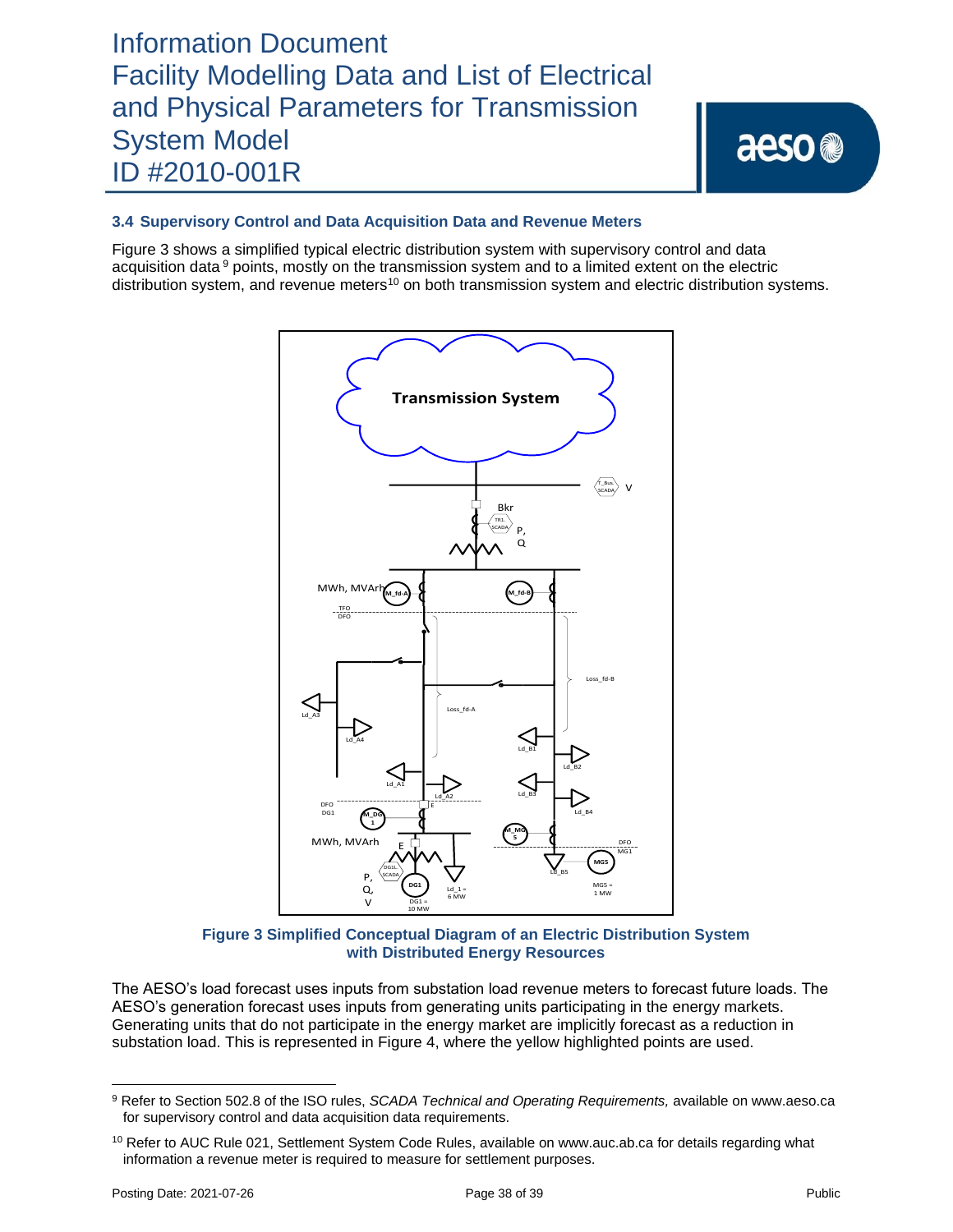### **3.4 Supervisory Control and Data Acquisition Data and Revenue Meters**

Figure 3 shows a simplified typical electric distribution system with supervisory control and data acquisition data <sup>9</sup> points, mostly on the transmission system and to a limited extent on the electric distribution system, and revenue meters<sup>10</sup> on both transmission system and electric distribution systems.



**Figure 3 Simplified Conceptual Diagram of an Electric Distribution System with Distributed Energy Resources**

The AESO's load forecast uses inputs from substation load revenue meters to forecast future loads. The AESO's generation forecast uses inputs from generating units participating in the energy markets. Generating units that do not participate in the energy market are implicitly forecast as a reduction in substation load. This is represented in Figure 4, where the yellow highlighted points are used.

<sup>9</sup> Refer to Section 502.8 of the ISO rules, *SCADA Technical and Operating Requirements,* available on www.aeso.ca for supervisory control and data acquisition data requirements.

<sup>&</sup>lt;sup>10</sup> Refer to AUC Rule 021, Settlement System Code Rules, available on www.auc.ab.ca for details regarding what information a revenue meter is required to measure for settlement purposes.